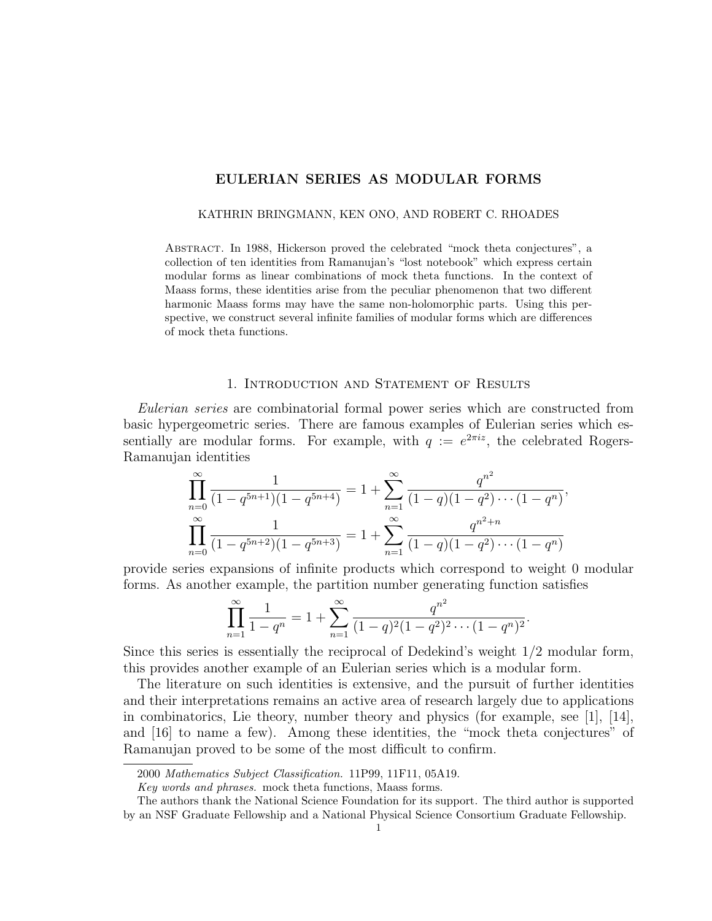# EULERIAN SERIES AS MODULAR FORMS

#### KATHRIN BRINGMANN, KEN ONO, AND ROBERT C. RHOADES

Abstract. In 1988, Hickerson proved the celebrated "mock theta conjectures", a collection of ten identities from Ramanujan's "lost notebook" which express certain modular forms as linear combinations of mock theta functions. In the context of Maass forms, these identities arise from the peculiar phenomenon that two different harmonic Maass forms may have the same non-holomorphic parts. Using this perspective, we construct several infinite families of modular forms which are differences of mock theta functions.

### 1. Introduction and Statement of Results

Eulerian series are combinatorial formal power series which are constructed from basic hypergeometric series. There are famous examples of Eulerian series which essentially are modular forms. For example, with  $q := e^{2\pi i z}$ , the celebrated Rogers-Ramanujan identities

$$
\prod_{n=0}^{\infty} \frac{1}{(1-q^{5n+1})(1-q^{5n+4})} = 1 + \sum_{n=1}^{\infty} \frac{q^{n^2}}{(1-q)(1-q^2)\cdots(1-q^n)},
$$
  

$$
\prod_{n=0}^{\infty} \frac{1}{(1-q^{5n+2})(1-q^{5n+3})} = 1 + \sum_{n=1}^{\infty} \frac{q^{n^2+n}}{(1-q)(1-q^2)\cdots(1-q^n)}
$$

provide series expansions of infinite products which correspond to weight 0 modular forms. As another example, the partition number generating function satisfies

$$
\prod_{n=1}^{\infty} \frac{1}{1-q^n} = 1 + \sum_{n=1}^{\infty} \frac{q^{n^2}}{(1-q)^2 (1-q^2)^2 \cdots (1-q^n)^2}.
$$

Since this series is essentially the reciprocal of Dedekind's weight 1/2 modular form, this provides another example of an Eulerian series which is a modular form.

The literature on such identities is extensive, and the pursuit of further identities and their interpretations remains an active area of research largely due to applications in combinatorics, Lie theory, number theory and physics (for example, see [1], [14], and [16] to name a few). Among these identities, the "mock theta conjectures" of Ramanujan proved to be some of the most difficult to confirm.

<sup>2000</sup> Mathematics Subject Classification. 11P99, 11F11, 05A19.

Key words and phrases. mock theta functions, Maass forms.

The authors thank the National Science Foundation for its support. The third author is supported by an NSF Graduate Fellowship and a National Physical Science Consortium Graduate Fellowship.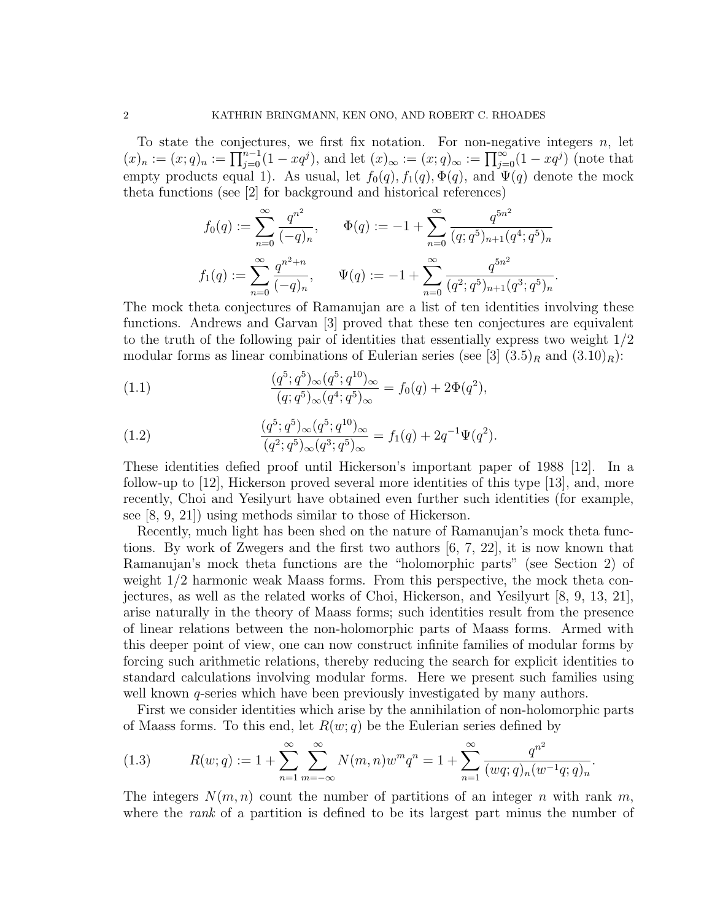To state the conjectures, we first fix notation. For non-negative integers  $n$ , let  $(x)_n := (x;q)_n := \prod_{j=0}^{n-1} (1-xq^j)$ , and let  $(x)_{\infty} := (x;q)_{\infty} := \prod_{j=0}^{\infty} (1-xq^j)$  (note that empty products equal 1). As usual, let  $f_0(q)$ ,  $f_1(q)$ ,  $\Phi(q)$ , and  $\Psi(q)$  denote the mock theta functions (see [2] for background and historical references)

$$
f_0(q) := \sum_{n=0}^{\infty} \frac{q^{n^2}}{(-q)_n}, \qquad \Phi(q) := -1 + \sum_{n=0}^{\infty} \frac{q^{5n^2}}{(q;q^5)_{n+1}(q^4;q^5)_n}
$$

$$
f_1(q) := \sum_{n=0}^{\infty} \frac{q^{n^2+n}}{(-q)_n}, \qquad \Psi(q) := -1 + \sum_{n=0}^{\infty} \frac{q^{5n^2}}{(q^2;q^5)_{n+1}(q^3;q^5)_n}.
$$

The mock theta conjectures of Ramanujan are a list of ten identities involving these functions. Andrews and Garvan [3] proved that these ten conjectures are equivalent to the truth of the following pair of identities that essentially express two weight  $1/2$ modular forms as linear combinations of Eulerian series (see [3]  $(3.5)_R$  and  $(3.10)_R$ ):

(1.1) 
$$
\frac{(q^5;q^5)_{\infty}(q^5;q^{10})_{\infty}}{(q;q^5)_{\infty}(q^4;q^5)_{\infty}} = f_0(q) + 2\Phi(q^2),
$$

(1.2) 
$$
\frac{(q^5;q^5)_{\infty}(q^5;q^{10})_{\infty}}{(q^2;q^5)_{\infty}(q^3;q^5)_{\infty}} = f_1(q) + 2q^{-1}\Psi(q^2).
$$

These identities defied proof until Hickerson's important paper of 1988 [12]. In a follow-up to [12], Hickerson proved several more identities of this type [13], and, more recently, Choi and Yesilyurt have obtained even further such identities (for example, see [8, 9, 21]) using methods similar to those of Hickerson.

Recently, much light has been shed on the nature of Ramanujan's mock theta functions. By work of Zwegers and the first two authors [6, 7, 22], it is now known that Ramanujan's mock theta functions are the "holomorphic parts" (see Section 2) of weight 1/2 harmonic weak Maass forms. From this perspective, the mock theta conjectures, as well as the related works of Choi, Hickerson, and Yesilyurt [8, 9, 13, 21], arise naturally in the theory of Maass forms; such identities result from the presence of linear relations between the non-holomorphic parts of Maass forms. Armed with this deeper point of view, one can now construct infinite families of modular forms by forcing such arithmetic relations, thereby reducing the search for explicit identities to standard calculations involving modular forms. Here we present such families using well known  $q$ -series which have been previously investigated by many authors.

First we consider identities which arise by the annihilation of non-holomorphic parts of Maass forms. To this end, let  $R(w; q)$  be the Eulerian series defined by

(1.3) 
$$
R(w;q) := 1 + \sum_{n=1}^{\infty} \sum_{m=-\infty}^{\infty} N(m,n)w^m q^n = 1 + \sum_{n=1}^{\infty} \frac{q^{n^2}}{(wq;q)_n(w^{-1}q;q)_n}.
$$

The integers  $N(m, n)$  count the number of partitions of an integer n with rank m, where the *rank* of a partition is defined to be its largest part minus the number of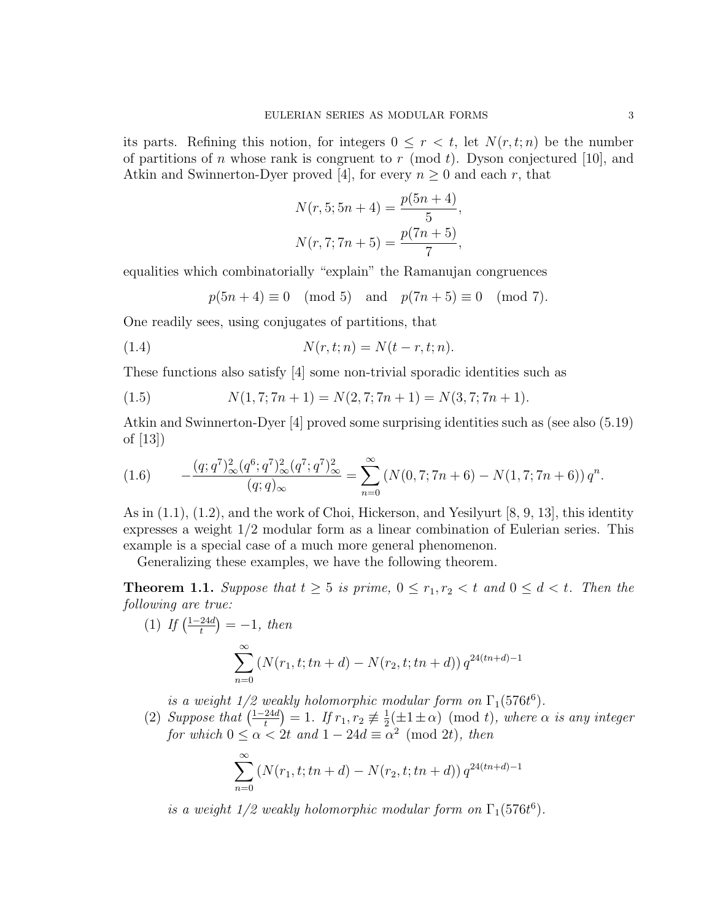its parts. Refining this notion, for integers  $0 \leq r < t$ , let  $N(r, t; n)$  be the number of partitions of n whose rank is congruent to r (mod t). Dyson conjectured [10], and Atkin and Swinnerton-Dyer proved [4], for every  $n \geq 0$  and each r, that

$$
N(r, 5; 5n + 4) = \frac{p(5n + 4)}{5},
$$
  

$$
N(r, 7; 7n + 5) = \frac{p(7n + 5)}{7},
$$

equalities which combinatorially "explain" the Ramanujan congruences

$$
p(5n+4) \equiv 0 \pmod{5} \text{ and } p(7n+5) \equiv 0 \pmod{7}.
$$

One readily sees, using conjugates of partitions, that

$$
(1.4) \t\t N(r,t;n) = N(t-r,t;n).
$$

These functions also satisfy [4] some non-trivial sporadic identities such as

(1.5) 
$$
N(1,7;7n+1) = N(2,7;7n+1) = N(3,7;7n+1).
$$

Atkin and Swinnerton-Dyer [4] proved some surprising identities such as (see also (5.19) of [13])

$$
(1.6) \qquad -\frac{(q;q^7)_{\infty}^2 (q^6;q^7)_{\infty}^2 (q^7;q^7)_{\infty}^2}{(q;q)_{\infty}} = \sum_{n=0}^{\infty} \left( N(0,7;7n+6) - N(1,7;7n+6) \right) q^n.
$$

As in (1.1), (1.2), and the work of Choi, Hickerson, and Yesilyurt [8, 9, 13], this identity expresses a weight 1/2 modular form as a linear combination of Eulerian series. This example is a special case of a much more general phenomenon.

Generalizing these examples, we have the following theorem.

**Theorem 1.1.** Suppose that  $t \geq 5$  is prime,  $0 \leq r_1, r_2 < t$  and  $0 \leq d < t$ . Then the following are true:

(1) If 
$$
\left(\frac{1-24d}{t}\right) = -1
$$
, then  
\n
$$
\sum_{n=0}^{\infty} \left(N(r_1, t; tn + d) - N(r_2, t; tn + d)\right) q^{24(tn+d)-1}
$$

is a weight  $1/2$  weakly holomorphic modular form on  $\Gamma_1(576t^6)$ .

(2) Suppose that  $\left(\frac{1-24d}{t}\right)$  $\left(\frac{24d}{t}\right) = 1.$  If  $r_1, r_2 \not\equiv \frac{1}{2}$  $\frac{1}{2}(\pm 1 \pm \alpha) \pmod{t}$ , where  $\alpha$  is any integer for which  $0 \le \alpha < 2t$  and  $1 - 24d \equiv \alpha^2 \pmod{2t}$ , then

$$
\sum_{n=0}^{\infty} \left( N(r_1, t; tn + d) - N(r_2, t; tn + d) \right) q^{24(tn+d)-1}
$$

is a weight  $1/2$  weakly holomorphic modular form on  $\Gamma_1(576t^6)$ .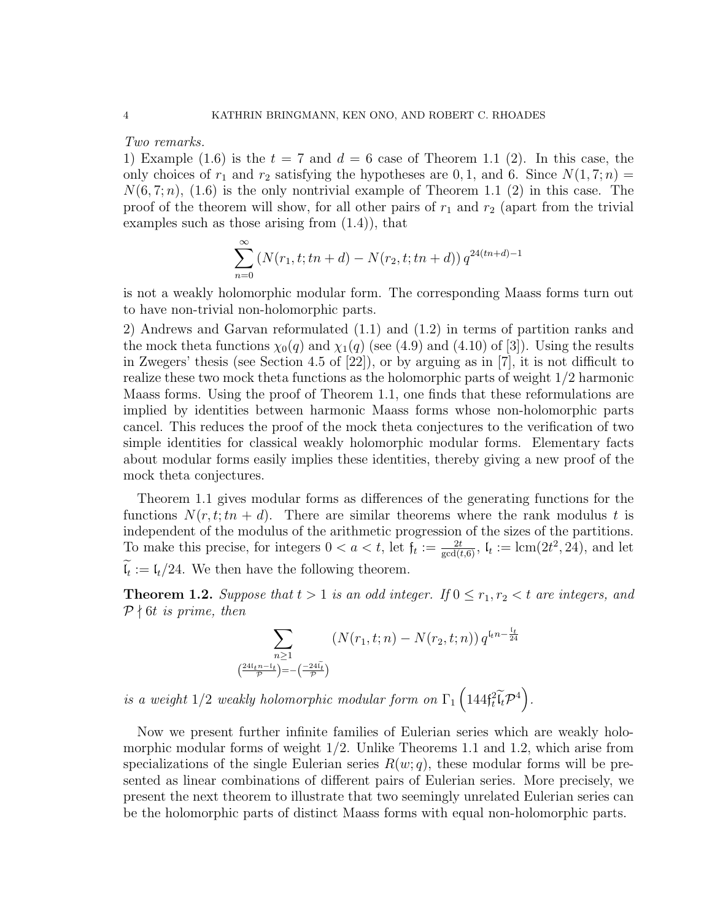Two remarks.

1) Example (1.6) is the  $t = 7$  and  $d = 6$  case of Theorem 1.1 (2). In this case, the only choices of  $r_1$  and  $r_2$  satisfying the hypotheses are 0, 1, and 6. Since  $N(1, 7; n) =$  $N(6, 7; n)$ ,  $(1.6)$  is the only nontrivial example of Theorem 1.1 (2) in this case. The proof of the theorem will show, for all other pairs of  $r_1$  and  $r_2$  (apart from the trivial examples such as those arising from (1.4)), that

$$
\sum_{n=0}^{\infty} (N(r_1, t; tn + d) - N(r_2, t; tn + d)) q^{24(tn+d)-1}
$$

is not a weakly holomorphic modular form. The corresponding Maass forms turn out to have non-trivial non-holomorphic parts.

2) Andrews and Garvan reformulated (1.1) and (1.2) in terms of partition ranks and the mock theta functions  $\chi_0(q)$  and  $\chi_1(q)$  (see (4.9) and (4.10) of [3]). Using the results in Zwegers' thesis (see Section 4.5 of [22]), or by arguing as in [7], it is not difficult to realize these two mock theta functions as the holomorphic parts of weight 1/2 harmonic Maass forms. Using the proof of Theorem 1.1, one finds that these reformulations are implied by identities between harmonic Maass forms whose non-holomorphic parts cancel. This reduces the proof of the mock theta conjectures to the verification of two simple identities for classical weakly holomorphic modular forms. Elementary facts about modular forms easily implies these identities, thereby giving a new proof of the mock theta conjectures.

Theorem 1.1 gives modular forms as differences of the generating functions for the functions  $N(r, t; tn + d)$ . There are similar theorems where the rank modulus t is independent of the modulus of the arithmetic progression of the sizes of the partitions. To make this precise, for integers  $0 < a < t$ , let  $f_t := \frac{2t}{\gcd(t,6)}$ ,  $l_t := \text{lcm}(2t^2, 24)$ , and let  $\mathfrak{l}_t := \mathfrak{l}_t/24$ . We then have the following theorem.

**Theorem 1.2.** Suppose that  $t > 1$  is an odd integer. If  $0 \le r_1, r_2 < t$  are integers, and  $P \nmid 6t$  is prime, then

$$
\sum_{\substack{n \geq 1 \\ \left(\frac{24(t_1 n - t_t}{\mathcal{P}}\right) = -\left(\frac{-24\tilde{t}_t}{\mathcal{P}}\right)}} \left(N(r_1, t; n) - N(r_2, t; n)\right) q^{t_t n - \frac{t_t}{24}}
$$

is a weight  $1/2$  weakly holomorphic modular form on  $\Gamma_1\left(144\mathfrak{f}_t^2\widetilde{\mathfrak{l}_t}\mathcal{P}^4\right)$ .

Now we present further infinite families of Eulerian series which are weakly holomorphic modular forms of weight 1/2. Unlike Theorems 1.1 and 1.2, which arise from specializations of the single Eulerian series  $R(w; q)$ , these modular forms will be presented as linear combinations of different pairs of Eulerian series. More precisely, we present the next theorem to illustrate that two seemingly unrelated Eulerian series can be the holomorphic parts of distinct Maass forms with equal non-holomorphic parts.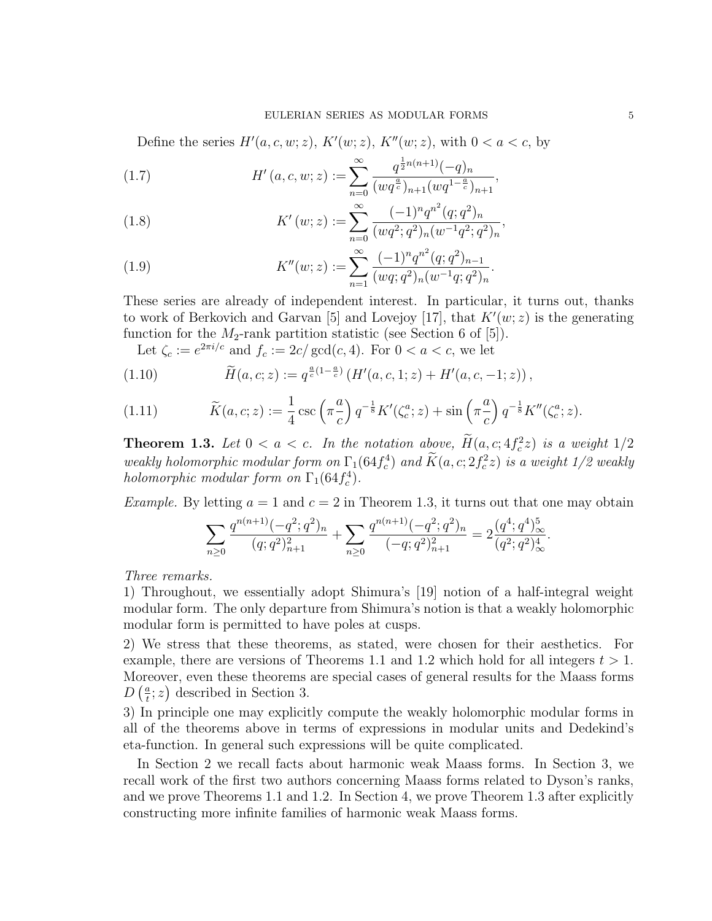#### EULERIAN SERIES AS MODULAR FORMS 5

Define the series  $H'(a, c, w; z)$ ,  $K'(w; z)$ ,  $K''(w; z)$ , with  $0 < a < c$ , by

(1.7) 
$$
H'(a, c, w; z) := \sum_{n=0}^{\infty} \frac{q^{\frac{1}{2}n(n+1)}(-q)_n}{(wq^{\frac{a}{c}})_{n+1}(wq^{1-\frac{a}{c}})_{n+1}},
$$

(1.8) 
$$
K'(w; z) := \sum_{n=0}^{\infty} \frac{(-1)^n q^{n^2} (q; q^2)_n}{(wq^2; q^2)_n (w^{-1}q^2; q^2)_n},
$$

(1.9) 
$$
K''(w; z) := \sum_{n=1}^{\infty} \frac{(-1)^n q^{n^2} (q; q^2)_{n-1}}{(wq; q^2)_n (w^{-1}q; q^2)_n}.
$$

These series are already of independent interest. In particular, it turns out, thanks to work of Berkovich and Garvan [5] and Lovejoy [17], that  $K'(w; z)$  is the generating function for the  $M_2$ -rank partition statistic (see Section 6 of [5]).

Let  $\zeta_c := e^{2\pi i/c}$  and  $f_c := 2c/\gcd(c, 4)$ . For  $0 < a < c$ , we let

(1.10) 
$$
\widetilde{H}(a,c;z) := q^{\frac{a}{c}(1-\frac{a}{c})} \left( H'(a,c,1;z) + H'(a,c,-1;z) \right),
$$

(1.11) 
$$
\widetilde{K}(a,c;z) := \frac{1}{4} \csc\left(\pi \frac{a}{c}\right) q^{-\frac{1}{8}} K'(\zeta_c^a; z) + \sin\left(\pi \frac{a}{c}\right) q^{-\frac{1}{8}} K''(\zeta_c^a; z).
$$

**Theorem 1.3.** Let  $0 < a < c$ . In the notation above,  $H(a, c; 4f_c^2z)$  is a weight  $1/2$ weakly holomorphic modular form on  $\Gamma_1(64f_c^4)$  and  $\widetilde{K}(a, c; 2f_c^2z)$  is a weight  $1/2$  weakly holomorphic modular form on  $\Gamma_1(64 f_c^4)$ .

*Example.* By letting  $a = 1$  and  $c = 2$  in Theorem 1.3, it turns out that one may obtain

$$
\sum_{n\geq 0} \frac{q^{n(n+1)}(-q^2;q^2)_n}{(q;q^2)_{n+1}^2} + \sum_{n\geq 0} \frac{q^{n(n+1)}(-q^2;q^2)_n}{(-q;q^2)_{n+1}^2} = 2\frac{(q^4;q^4)_{\infty}^5}{(q^2;q^2)_{\infty}^4}.
$$

Three remarks.

1) Throughout, we essentially adopt Shimura's [19] notion of a half-integral weight modular form. The only departure from Shimura's notion is that a weakly holomorphic modular form is permitted to have poles at cusps.

2) We stress that these theorems, as stated, were chosen for their aesthetics. For example, there are versions of Theorems 1.1 and 1.2 which hold for all integers  $t > 1$ . Moreover, even these theorems are special cases of general results for the Maass forms  $D\left(\frac{a}{t}\right)$  $(\frac{a}{t}; z)$  described in Section 3.

3) In principle one may explicitly compute the weakly holomorphic modular forms in all of the theorems above in terms of expressions in modular units and Dedekind's eta-function. In general such expressions will be quite complicated.

In Section 2 we recall facts about harmonic weak Maass forms. In Section 3, we recall work of the first two authors concerning Maass forms related to Dyson's ranks, and we prove Theorems 1.1 and 1.2. In Section 4, we prove Theorem 1.3 after explicitly constructing more infinite families of harmonic weak Maass forms.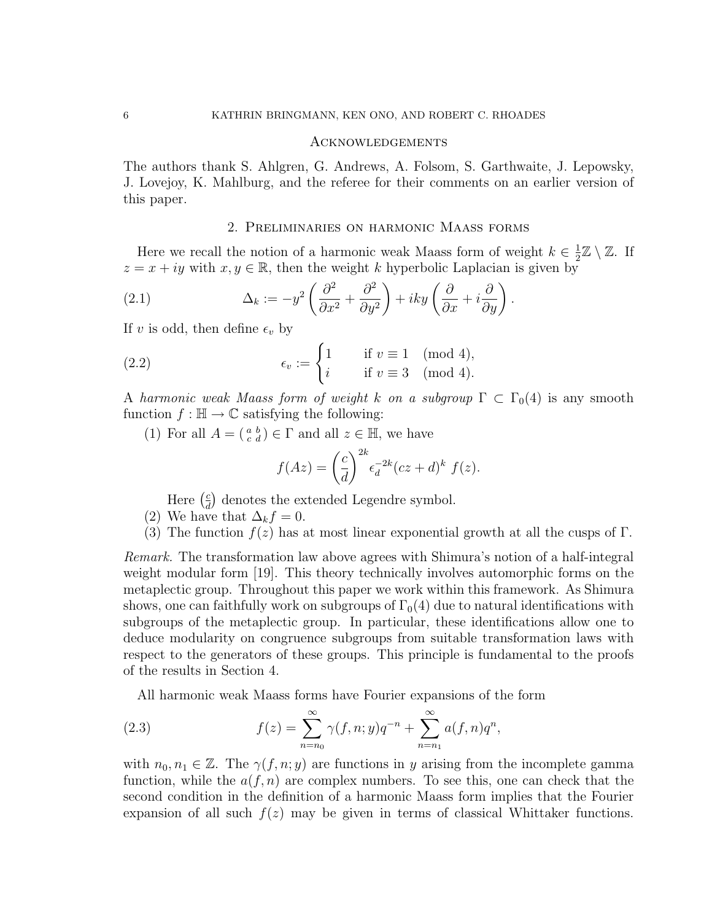#### Acknowledgements

The authors thank S. Ahlgren, G. Andrews, A. Folsom, S. Garthwaite, J. Lepowsky, J. Lovejoy, K. Mahlburg, and the referee for their comments on an earlier version of this paper.

## 2. Preliminaries on harmonic Maass forms

Here we recall the notion of a harmonic weak Maass form of weight  $k \in \frac{1}{2}$  $\frac{1}{2}\mathbb{Z}\setminus\mathbb{Z}$ . If  $z = x + iy$  with  $x, y \in \mathbb{R}$ , then the weight k hyperbolic Laplacian is given by

(2.1) 
$$
\Delta_k := -y^2 \left( \frac{\partial^2}{\partial x^2} + \frac{\partial^2}{\partial y^2} \right) + iky \left( \frac{\partial}{\partial x} + i \frac{\partial}{\partial y} \right).
$$

If v is odd, then define  $\epsilon_v$  by

(2.2) 
$$
\epsilon_v := \begin{cases} 1 & \text{if } v \equiv 1 \pmod{4}, \\ i & \text{if } v \equiv 3 \pmod{4}. \end{cases}
$$

A harmonic weak Maass form of weight k on a subgroup  $\Gamma \subset \Gamma_0(4)$  is any smooth function  $f : \mathbb{H} \to \mathbb{C}$  satisfying the following:

(1) For all  $A = \begin{pmatrix} a & b \\ c & d \end{pmatrix} \in \Gamma$  and all  $z \in \mathbb{H}$ , we have

$$
f(Az) = \left(\frac{c}{d}\right)^{2k} \epsilon_d^{-2k} (cz+d)^k f(z).
$$

Here  $\left(\frac{c}{d}\right)$  $\frac{c}{d}$  denotes the extended Legendre symbol.

- (2) We have that  $\Delta_k f = 0$ .
- (3) The function  $f(z)$  has at most linear exponential growth at all the cusps of Γ.

Remark. The transformation law above agrees with Shimura's notion of a half-integral weight modular form [19]. This theory technically involves automorphic forms on the metaplectic group. Throughout this paper we work within this framework. As Shimura shows, one can faithfully work on subgroups of  $\Gamma_0(4)$  due to natural identifications with subgroups of the metaplectic group. In particular, these identifications allow one to deduce modularity on congruence subgroups from suitable transformation laws with respect to the generators of these groups. This principle is fundamental to the proofs of the results in Section 4.

All harmonic weak Maass forms have Fourier expansions of the form

(2.3) 
$$
f(z) = \sum_{n=n_0}^{\infty} \gamma(f, n; y) q^{-n} + \sum_{n=n_1}^{\infty} a(f, n) q^n,
$$

with  $n_0, n_1 \in \mathbb{Z}$ . The  $\gamma(f, n; y)$  are functions in y arising from the incomplete gamma function, while the  $a(f, n)$  are complex numbers. To see this, one can check that the second condition in the definition of a harmonic Maass form implies that the Fourier expansion of all such  $f(z)$  may be given in terms of classical Whittaker functions.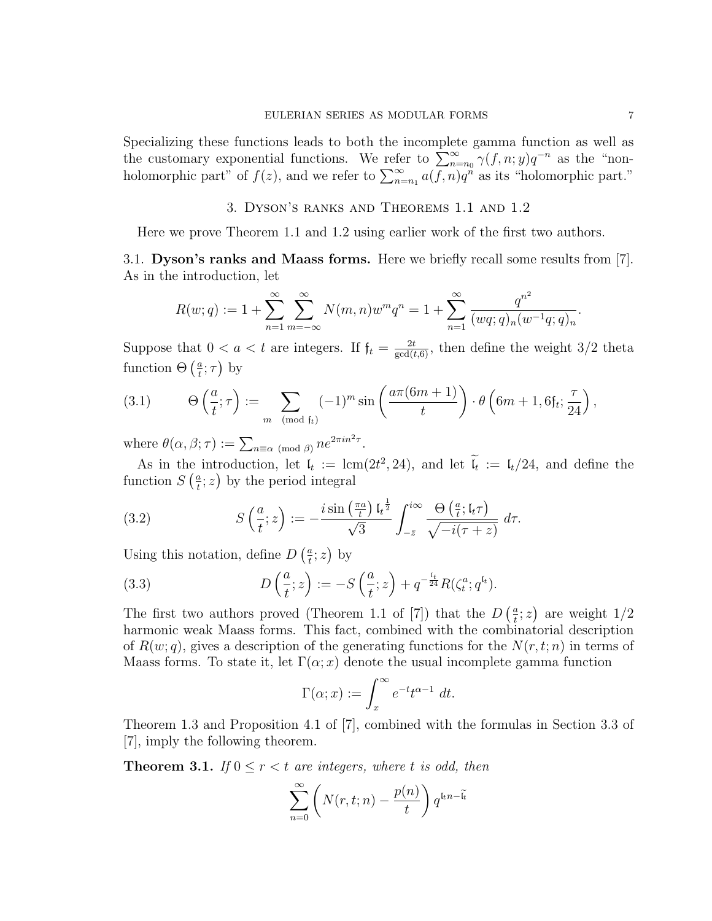Specializing these functions leads to both the incomplete gamma function as well as the customary exponential functions. We refer to  $\sum_{n=n_0}^{\infty} \gamma(f, n; y) q^{-n}$  as the "nonholomorphic part" of  $f(z)$ , and we refer to  $\sum_{n=n_1}^{\infty} a(\overline{f}, n)q^n$  as its "holomorphic part."

3. Dyson's ranks and Theorems 1.1 and 1.2

Here we prove Theorem 1.1 and 1.2 using earlier work of the first two authors.

3.1. Dyson's ranks and Maass forms. Here we briefly recall some results from [7]. As in the introduction, let

$$
R(w;q) := 1 + \sum_{n=1}^{\infty} \sum_{m=-\infty}^{\infty} N(m,n)w^m q^n = 1 + \sum_{n=1}^{\infty} \frac{q^{n^2}}{(wq;q)_n(w^{-1}q;q)_n}.
$$

Suppose that  $0 < a < t$  are integers. If  $f_t = \frac{2t}{\gcd(t,6)}$ , then define the weight 3/2 theta function  $\Theta\left(\frac{a}{t}\right)$  $(\frac{a}{t};\tau)$  by

(3.1) 
$$
\Theta\left(\frac{a}{t};\tau\right) := \sum_{m \pmod{f_t}} (-1)^m \sin\left(\frac{a\pi(6m+1)}{t}\right) \cdot \theta\left(6m+1,6f_t;\frac{\tau}{24}\right),
$$

where  $\theta(\alpha, \beta; \tau) := \sum_{n \equiv \alpha \pmod{\beta}} n e^{2\pi i n^2 \tau}$ .

As in the introduction, let  $\mathfrak{l}_t := \text{lcm}(2t^2, 24)$ , and let  $\tilde{\mathfrak{l}}_t := \mathfrak{l}_t/24$ , and define the function  $S\left(\frac{a}{t}\right)$  $(\frac{a}{t}; z)$  by the period integral

(3.2) 
$$
S\left(\frac{a}{t};z\right) := -\frac{i\sin\left(\frac{\pi a}{t}\right)\mathfrak{l}_{t}^{\frac{1}{2}}}{\sqrt{3}}\int_{-\overline{z}}^{i\infty}\frac{\Theta\left(\frac{a}{t};\mathfrak{l}_{t}\tau\right)}{\sqrt{-i(\tau+z)}} d\tau.
$$

Using this notation, define  $D\left(\frac{a}{t}\right)$  $\frac{a}{t}$ ; z) by

(3.3) 
$$
D\left(\frac{a}{t};z\right) := -S\left(\frac{a}{t};z\right) + q^{-\frac{t_t}{24}}R(\zeta_t^a; q^{t_t}).
$$

The first two authors proved (Theorem 1.1 of [7]) that the  $D\left(\frac{a}{t}\right)$  $(\frac{a}{t}; z)$  are weight  $1/2$ harmonic weak Maass forms. This fact, combined with the combinatorial description of  $R(w; q)$ , gives a description of the generating functions for the  $N(r, t; n)$  in terms of Maass forms. To state it, let  $\Gamma(\alpha; x)$  denote the usual incomplete gamma function

$$
\Gamma(\alpha; x) := \int_x^{\infty} e^{-t} t^{\alpha - 1} dt.
$$

Theorem 1.3 and Proposition 4.1 of [7], combined with the formulas in Section 3.3 of [7], imply the following theorem.

**Theorem 3.1.** If  $0 \le r < t$  are integers, where t is odd, then

$$
\sum_{n=0}^{\infty} \left( N(r, t; n) - \frac{p(n)}{t} \right) q^{t_n - \tilde{t}_t}
$$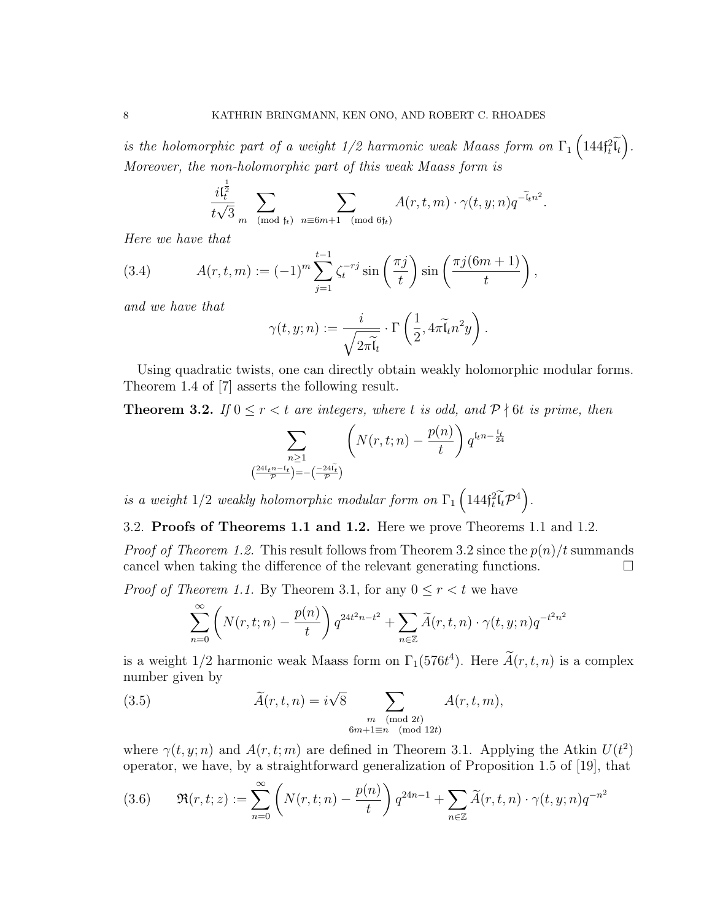is the holomorphic part of a weight  $1/2$  harmonic weak Maass form on  $\Gamma_1\left(144\mathfrak{f}_t^2\widetilde{\mathfrak{l}_t}\right)$ . Moreover, the non-holomorphic part of this weak Maass form is

$$
\frac{i\mathfrak{l}_t^{\frac{1}{2}}}{t\sqrt{3}} \sum_{m \pmod{\mathfrak{f}_t}} \sum_{n \equiv 6m+1 \pmod{6\mathfrak{f}_t}} A(r,t,m) \cdot \gamma(t,y;n) q^{-\widetilde{\mathfrak{l}}_t n^2}.
$$

Here we have that

(3.4) 
$$
A(r, t, m) := (-1)^m \sum_{j=1}^{t-1} \zeta_t^{-r_j} \sin\left(\frac{\pi j}{t}\right) \sin\left(\frac{\pi j (6m+1)}{t}\right),
$$

and we have that

$$
\gamma(t, y; n) := \frac{i}{\sqrt{2\pi\widetilde{\mathfrak{l}}_t}} \cdot \Gamma\left(\frac{1}{2}, 4\pi\widetilde{\mathfrak{l}}_t n^2 y\right).
$$

Using quadratic twists, one can directly obtain weakly holomorphic modular forms. Theorem 1.4 of [7] asserts the following result.

**Theorem 3.2.** If  $0 \le r < t$  are integers, where t is odd, and  $P \nmid 6t$  is prime, then

$$
\sum_{\substack{n\geq 1\\ \left(\frac{24\mathfrak{l}_t n - \mathfrak{l}_t}{\mathcal{P}}\right) = -\left(\frac{-24\mathfrak{l}_t}{\mathcal{P}}\right)}} \left(N(r, t; n) - \frac{p(n)}{t}\right) q^{\mathfrak{l}_t n - \frac{\mathfrak{l}_t}{24}}
$$

is a weight  $1/2$  weakly holomorphic modular form on  $\Gamma_1\left(144\mathfrak{f}_t^2\widetilde{\mathfrak{l}_t}\mathcal{P}^4\right)$ .

## 3.2. Proofs of Theorems 1.1 and 1.2. Here we prove Theorems 1.1 and 1.2.

*Proof of Theorem 1.2.* This result follows from Theorem 3.2 since the  $p(n)/t$  summands cancel when taking the difference of the relevant generating functions.  $\Box$ 

*Proof of Theorem 1.1.* By Theorem 3.1, for any  $0 \le r < t$  we have

$$
\sum_{n=0}^{\infty} \left( N(r,t;n) - \frac{p(n)}{t} \right) q^{24t^2n - t^2} + \sum_{n \in \mathbb{Z}} \widetilde{A}(r,t,n) \cdot \gamma(t,y;n) q^{-t^2n^2}
$$

is a weight  $1/2$  harmonic weak Maass form on  $\Gamma_1(576t^4)$ . Here  $\tilde{A}(r, t, n)$  is a complex number given by

(3.5) 
$$
\widetilde{A}(r,t,n) = i\sqrt{8} \sum_{\substack{m \pmod{2t} \\ 6m+1 \equiv n \pmod{12t}}} A(r,t,m),
$$

where  $\gamma(t, y; n)$  and  $A(r, t; m)$  are defined in Theorem 3.1. Applying the Atkin  $U(t^2)$ operator, we have, by a straightforward generalization of Proposition 1.5 of [19], that

(3.6) 
$$
\mathfrak{R}(r,t;z) := \sum_{n=0}^{\infty} \left( N(r,t;n) - \frac{p(n)}{t} \right) q^{24n-1} + \sum_{n \in \mathbb{Z}} \widetilde{A}(r,t,n) \cdot \gamma(t,y;n) q^{-n^2}
$$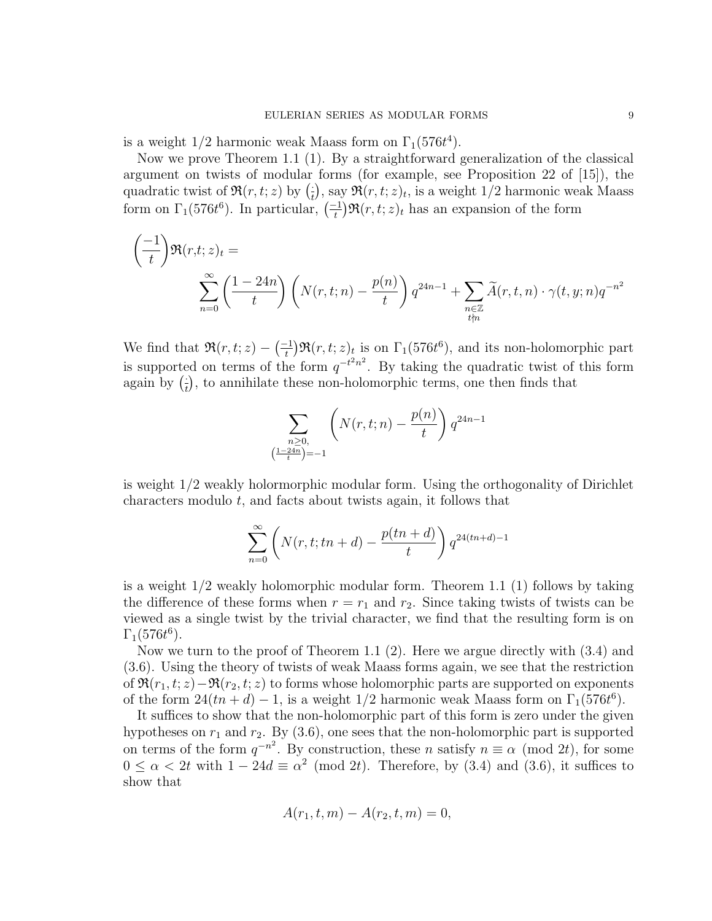is a weight  $1/2$  harmonic weak Maass form on  $\Gamma_1(576t^4)$ .

Now we prove Theorem 1.1 (1). By a straightforward generalization of the classical argument on twists of modular forms (for example, see Proposition 22 of [15]), the quadratic twist of  $\Re(r,t;z)$  by  $\left(\frac{1}{t}\right)$  $(\frac{1}{t}),$  say  $\Re(r, t; z)_t$ , is a weight 1/2 harmonic weak Maass form on  $\Gamma_1(576t^6)$ . In particular,  $\left(\frac{-1}{t}\right)$  $\frac{t-1}{t}$ ) $\Re(r, t; z)_t$  has an expansion of the form

$$
\left(\frac{-1}{t}\right) \Re(r,t;z)_t = \sum_{n=0}^{\infty} \left(\frac{1-24n}{t}\right) \left(N(r,t;n) - \frac{p(n)}{t}\right) q^{24n-1} + \sum_{\substack{n \in \mathbb{Z} \\ t \nmid n}} \widetilde{A}(r,t,n) \cdot \gamma(t,y;n) q^{-n^2}
$$

We find that  $\Re(r,t;z)-\left(\frac{-1}{t}\right)$  $\int_{t}^{\infty} \mathfrak{R}(r, t; z)_t$  is on  $\Gamma_1(576t^6)$ , and its non-holomorphic part is supported on terms of the form  $q^{-t^2n^2}$ . By taking the quadratic twist of this form again by  $(\frac{1}{t})$  $\frac{1}{t}$ , to annihilate these non-holomorphic terms, one then finds that

$$
\sum_{\substack{n \ge 0, \\ \left(\frac{1-24n}{t}\right)=-1}} \left( N(r,t;n) - \frac{p(n)}{t} \right) q^{24n-1}
$$

is weight 1/2 weakly holormorphic modular form. Using the orthogonality of Dirichlet characters modulo t, and facts about twists again, it follows that

$$
\sum_{n=0}^{\infty} \left( N(r,t;tn+d) - \frac{p(tn+d)}{t} \right) q^{24(tn+d)-1}
$$

is a weight 1/2 weakly holomorphic modular form. Theorem 1.1 (1) follows by taking the difference of these forms when  $r = r_1$  and  $r_2$ . Since taking twists of twists can be viewed as a single twist by the trivial character, we find that the resulting form is on  $\Gamma_1(576t^6)$ .

Now we turn to the proof of Theorem 1.1  $(2)$ . Here we argue directly with  $(3.4)$  and (3.6). Using the theory of twists of weak Maass forms again, we see that the restriction of  $\Re(r_1, t; z) - \Re(r_2, t; z)$  to forms whose holomorphic parts are supported on exponents of the form  $24(tn + d) - 1$ , is a weight  $1/2$  harmonic weak Maass form on  $\Gamma_1(576t^6)$ .

It suffices to show that the non-holomorphic part of this form is zero under the given hypotheses on  $r_1$  and  $r_2$ . By (3.6), one sees that the non-holomorphic part is supported on terms of the form  $q^{-n^2}$ . By construction, these n satisfy  $n \equiv \alpha \pmod{2t}$ , for some  $0 \leq \alpha < 2t$  with  $1 - 24d \equiv \alpha^2 \pmod{2t}$ . Therefore, by (3.4) and (3.6), it suffices to show that

$$
A(r_1, t, m) - A(r_2, t, m) = 0,
$$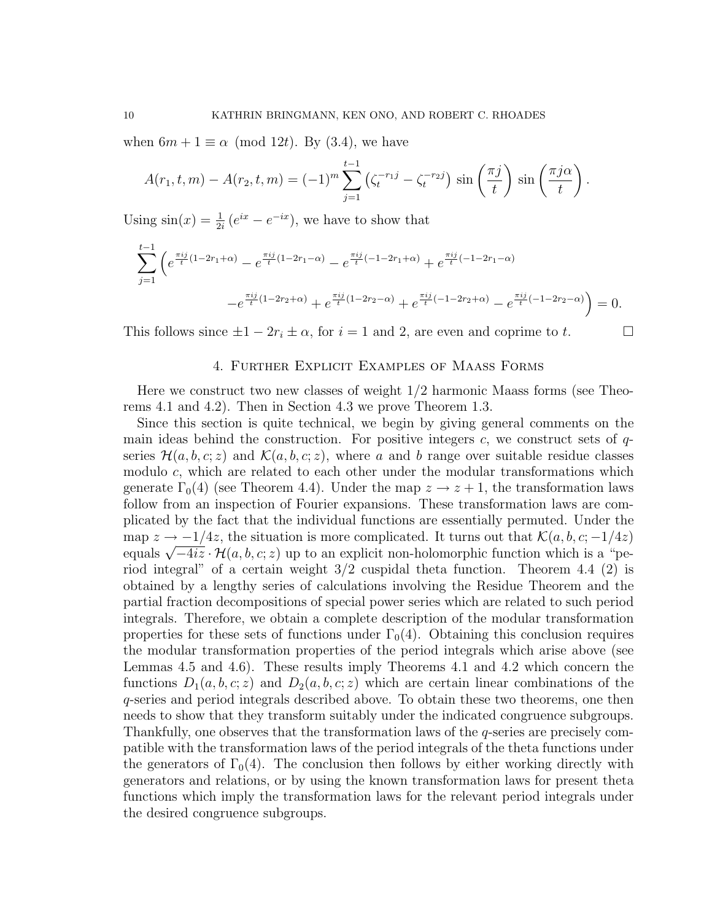when  $6m + 1 \equiv \alpha \pmod{12t}$ . By (3.4), we have

$$
A(r_1, t, m) - A(r_2, t, m) = (-1)^m \sum_{j=1}^{t-1} \left( \zeta_t^{-r_1 j} - \zeta_t^{-r_2 j} \right) \sin\left(\frac{\pi j}{t}\right) \sin\left(\frac{\pi j \alpha}{t}\right).
$$

Using  $\sin(x) = \frac{1}{2i} (e^{ix} - e^{-ix})$ , we have to show that

$$
\sum_{j=1}^{t-1} \left( e^{\frac{\pi ij}{t}(1-2r_1+\alpha)} - e^{\frac{\pi ij}{t}(1-2r_1-\alpha)} - e^{\frac{\pi ij}{t}(-1-2r_1+\alpha)} + e^{\frac{\pi ij}{t}(-1-2r_1-\alpha)} - e^{\frac{\pi ij}{t}(1-2r_2+\alpha)} + e^{\frac{\pi ij}{t}(1-2r_2-\alpha)} + e^{\frac{\pi ij}{t}(-1-2r_2+\alpha)} - e^{\frac{\pi ij}{t}(-1-2r_2-\alpha)} \right) = 0.
$$

This follows since  $\pm 1 - 2r_i \pm \alpha$ , for  $i = 1$  and 2, are even and coprime to t.

# 4. Further Explicit Examples of Maass Forms

Here we construct two new classes of weight 1/2 harmonic Maass forms (see Theorems 4.1 and 4.2). Then in Section 4.3 we prove Theorem 1.3.

Since this section is quite technical, we begin by giving general comments on the main ideas behind the construction. For positive integers  $c$ , we construct sets of  $q$ series  $\mathcal{H}(a, b, c; z)$  and  $\mathcal{K}(a, b, c; z)$ , where a and b range over suitable residue classes modulo  $c$ , which are related to each other under the modular transformations which generate  $\Gamma_0(4)$  (see Theorem 4.4). Under the map  $z \to z + 1$ , the transformation laws follow from an inspection of Fourier expansions. These transformation laws are complicated by the fact that the individual functions are essentially permuted. Under the map  $z \to -1/4z$ , the situation is more complicated. It turns out that  $\mathcal{K}(a, b, c; -1/4z)$ map  $z \to -1/4z$ , the situation is more complicated. It turns out that  $\mathcal{N}(a, b, c; -1/4z)$ <br>equals  $\sqrt{-4iz} \cdot \mathcal{H}(a, b, c; z)$  up to an explicit non-holomorphic function which is a "period integral" of a certain weight 3/2 cuspidal theta function. Theorem 4.4 (2) is obtained by a lengthy series of calculations involving the Residue Theorem and the partial fraction decompositions of special power series which are related to such period integrals. Therefore, we obtain a complete description of the modular transformation properties for these sets of functions under  $\Gamma_0(4)$ . Obtaining this conclusion requires the modular transformation properties of the period integrals which arise above (see Lemmas 4.5 and 4.6). These results imply Theorems 4.1 and 4.2 which concern the functions  $D_1(a, b, c; z)$  and  $D_2(a, b, c; z)$  which are certain linear combinations of the q-series and period integrals described above. To obtain these two theorems, one then needs to show that they transform suitably under the indicated congruence subgroups. Thankfully, one observes that the transformation laws of the q-series are precisely compatible with the transformation laws of the period integrals of the theta functions under the generators of  $\Gamma_0(4)$ . The conclusion then follows by either working directly with generators and relations, or by using the known transformation laws for present theta functions which imply the transformation laws for the relevant period integrals under the desired congruence subgroups.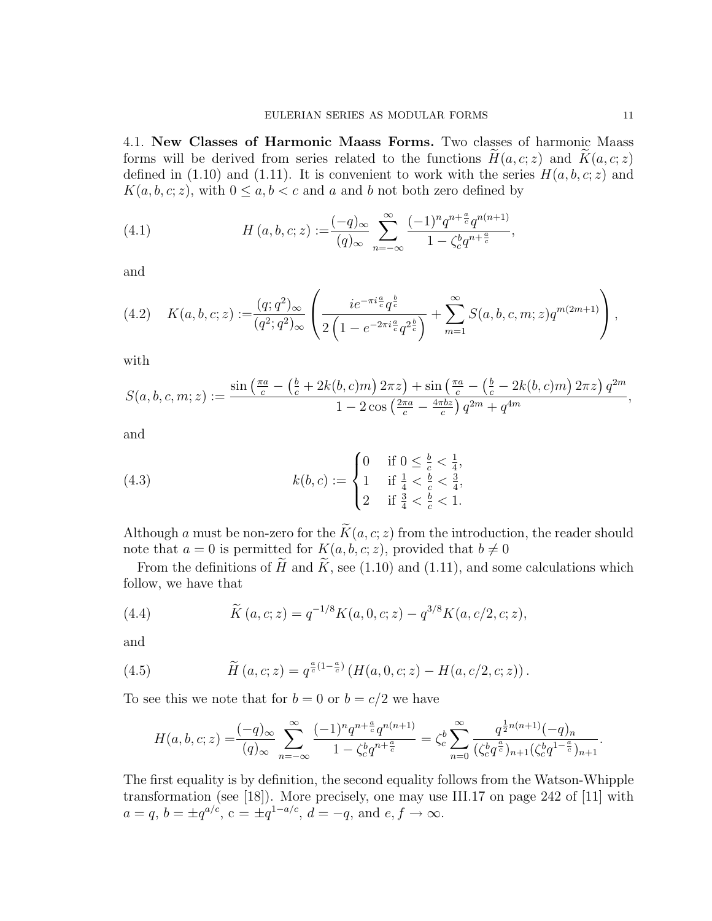4.1. New Classes of Harmonic Maass Forms. Two classes of harmonic Maass forms will be derived from series related to the functions  $H(a, c; z)$  and  $K(a, c; z)$ defined in (1.10) and (1.11). It is convenient to work with the series  $H(a, b, c; z)$  and  $K(a, b, c; z)$ , with  $0 \le a, b < c$  and a and b not both zero defined by

(4.1) 
$$
H(a, b, c; z) := \frac{(-q)_{\infty}}{(q)_{\infty}} \sum_{n=-\infty}^{\infty} \frac{(-1)^n q^{n + \frac{a}{c}} q^{n(n+1)}}{1 - \zeta_c^b q^{n + \frac{a}{c}}},
$$

and

$$
(4.2) \quad K(a,b,c;z) := \frac{(q;q^2)_{\infty}}{(q^2;q^2)_{\infty}} \left( \frac{ie^{-\pi i \frac{a}{c}}q^{\frac{b}{c}}}{2\left(1 - e^{-2\pi i \frac{a}{c}}q^{2\frac{b}{c}}\right)} + \sum_{m=1}^{\infty} S(a,b,c,m;z)q^{m(2m+1)} \right),
$$

with

$$
S(a, b, c, m; z) := \frac{\sin\left(\frac{\pi a}{c} - \left(\frac{b}{c} + 2k(b, c)m\right)2\pi z\right) + \sin\left(\frac{\pi a}{c} - \left(\frac{b}{c} - 2k(b, c)m\right)2\pi z\right)q^{2m}}{1 - 2\cos\left(\frac{2\pi a}{c} - \frac{4\pi bz}{c}\right)q^{2m} + q^{4m}},
$$

and

(4.3) 
$$
k(b, c) := \begin{cases} 0 & \text{if } 0 \leq \frac{b}{c} < \frac{1}{4}, \\ 1 & \text{if } \frac{1}{4} < \frac{b}{c} < \frac{3}{4}, \\ 2 & \text{if } \frac{3}{4} < \frac{b}{c} < 1. \end{cases}
$$

Although a must be non-zero for the  $\widetilde{K}(a, c; z)$  from the introduction, the reader should note that  $a = 0$  is permitted for  $K(a, b, c; z)$ , provided that  $b \neq 0$ 

From the definitions of  $\widetilde{H}$  and  $\widetilde{K}$ , see (1.10) and (1.11), and some calculations which follow, we have that

(4.4) 
$$
\widetilde{K}(a,c;z) = q^{-1/8} K(a,0,c;z) - q^{3/8} K(a,c/2,c;z),
$$

and

(4.5) 
$$
\widetilde{H}(a,c;z) = q^{\frac{a}{c}(1-\frac{a}{c})} \left( H(a,0,c;z) - H(a,c/2,c;z) \right).
$$

To see this we note that for  $b = 0$  or  $b = c/2$  we have

$$
H(a,b,c;z) = \frac{(-q)_{\infty}}{(q)_{\infty}} \sum_{n=-\infty}^{\infty} \frac{(-1)^n q^{n+\frac{a}{c}} q^{n(n+1)}}{1 - \zeta_c^b q^{n+\frac{a}{c}}} = \zeta_c^b \sum_{n=0}^{\infty} \frac{q^{\frac{1}{2}n(n+1)} (-q)_n}{(\zeta_c^b q^{\frac{a}{c}})_{n+1} (\zeta_c^b q^{1-\frac{a}{c}})_{n+1}}.
$$

The first equality is by definition, the second equality follows from the Watson-Whipple transformation (see [18]). More precisely, one may use III.17 on page 242 of [11] with  $a = q, b = \pm q^{a/c}, c = \pm q^{1-a/c}, d = -q, \text{ and } e, f \to \infty.$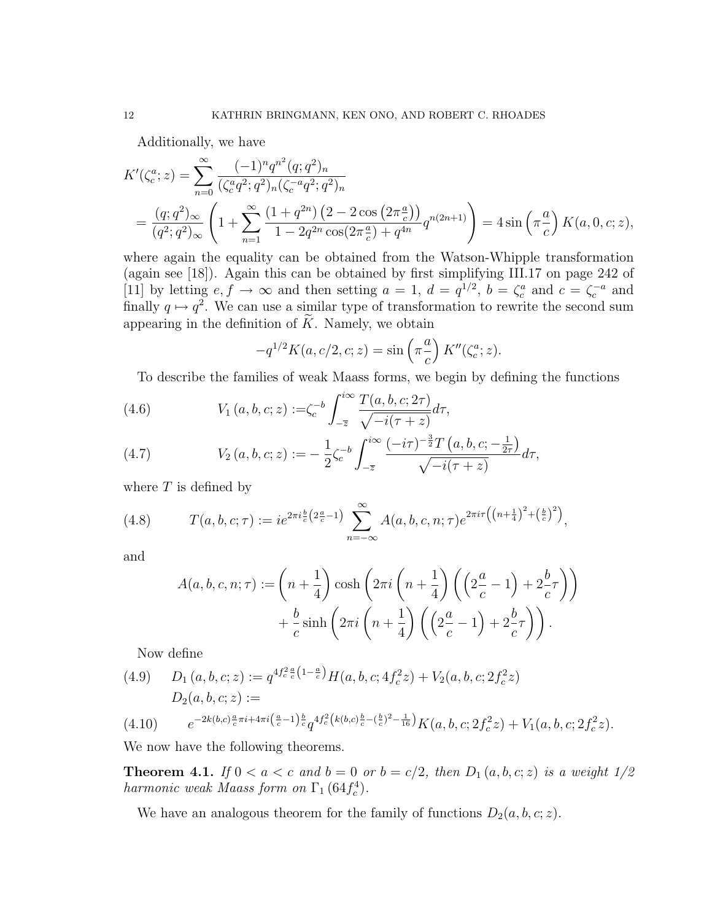Additionally, we have

$$
K'(\zeta_c^a; z) = \sum_{n=0}^{\infty} \frac{(-1)^n q^{n^2} (q; q^2)_n}{(\zeta_c^a q^2; q^2)_n (\zeta_c^{-a} q^2; q^2)_n}
$$
  
=  $\frac{(q; q^2)_{\infty}}{(q^2; q^2)_{\infty}} \left(1 + \sum_{n=1}^{\infty} \frac{(1+q^{2n}) (2 - 2 \cos(2\pi \frac{a}{c}))}{1 - 2q^{2n} \cos(2\pi \frac{a}{c}) + q^{4n}} q^{n(2n+1)}\right) = 4 \sin\left(\pi \frac{a}{c}\right) K(a, 0, c; z),$ 

where again the equality can be obtained from the Watson-Whipple transformation (again see [18]). Again this can be obtained by first simplifying III.17 on page 242 of [11] by letting  $e, f \to \infty$  and then setting  $a = 1, d = q^{1/2}, b = \zeta_c^a$  and  $c = \zeta_c^{-a}$  and finally  $q \mapsto q^2$ . We can use a similar type of transformation to rewrite the second sum appearing in the definition of  $\widetilde{K}$ . Namely, we obtain

$$
-q^{1/2}K(a, c/2, c; z) = \sin\left(\pi \frac{a}{c}\right) K''(\zeta_c^a; z).
$$

To describe the families of weak Maass forms, we begin by defining the functions

(4.6) 
$$
V_1(a, b, c; z) := \zeta_c^{-b} \int_{-\overline{z}}^{i\infty} \frac{T(a, b, c; 2\tau)}{\sqrt{-i(\tau + z)}} d\tau,
$$

(4.7) 
$$
V_2(a, b, c; z) := -\frac{1}{2}\zeta_c^{-b}\int_{-\overline{z}}^{i\infty} \frac{(-i\tau)^{-\frac{3}{2}}T(a, b, c; -\frac{1}{2\tau})}{\sqrt{-i(\tau + z)}}d\tau,
$$

where  $T$  is defined by

(4.8) 
$$
T(a, b, c; \tau) := i e^{2\pi i \frac{b}{c} \left(2\frac{a}{c} - 1\right)} \sum_{n = -\infty}^{\infty} A(a, b, c, n; \tau) e^{2\pi i \tau \left(\left(n + \frac{1}{4}\right)^2 + \left(\frac{b}{c}\right)^2\right)},
$$

and

$$
A(a, b, c, n; \tau) := \left(n + \frac{1}{4}\right) \cosh\left(2\pi i \left(n + \frac{1}{4}\right) \left(\left(2\frac{a}{c} - 1\right) + 2\frac{b}{c}\tau\right)\right) + \frac{b}{c} \sinh\left(2\pi i \left(n + \frac{1}{4}\right) \left(\left(2\frac{a}{c} - 1\right) + 2\frac{b}{c}\tau\right)\right).
$$

Now define

$$
(4.9) \quad D_1(a,b,c;z) := q^{4f_c^2 \frac{a}{c} \left(1 - \frac{a}{c}\right)} H(a,b,c; 4f_c^2 z) + V_2(a,b,c; 2f_c^2 z)
$$
\n
$$
D_2(a,b,c;z) :=
$$
\n
$$
(4.10) \quad e^{-2k(b,c)\frac{a}{c}\pi i + 4\pi i \left(\frac{a}{c} - 1\right)\frac{b}{c} A f_c^2 \left(k(b,c)\frac{b}{c} - \left(\frac{b}{c}\right)^2 - \frac{1}{16}\right)} K(c, b, c; 2f_c^2 z) + V_c(c, b, c; 2f_c^2 z)
$$

$$
(4.10) \qquad e^{-2k(b,c)\frac{a}{c}\pi i + 4\pi i \left(\frac{a}{c} - 1\right)\frac{b}{c}} q^{4f_c^2\left(k(b,c)\frac{b}{c} - \left(\frac{b}{c}\right)^2 - \frac{1}{16}\right)} K(a,b,c; 2f_c^2 z) + V_1(a,b,c; 2f_c^2 z).
$$

We now have the following theorems.

**Theorem 4.1.** If  $0 < a < c$  and  $b = 0$  or  $b = c/2$ , then  $D_1(a, b, c; z)$  is a weight  $1/2$ harmonic weak Maass form on  $\Gamma_1$  (64 $f_c^4$ ).

We have an analogous theorem for the family of functions  $D_2(a, b, c; z)$ .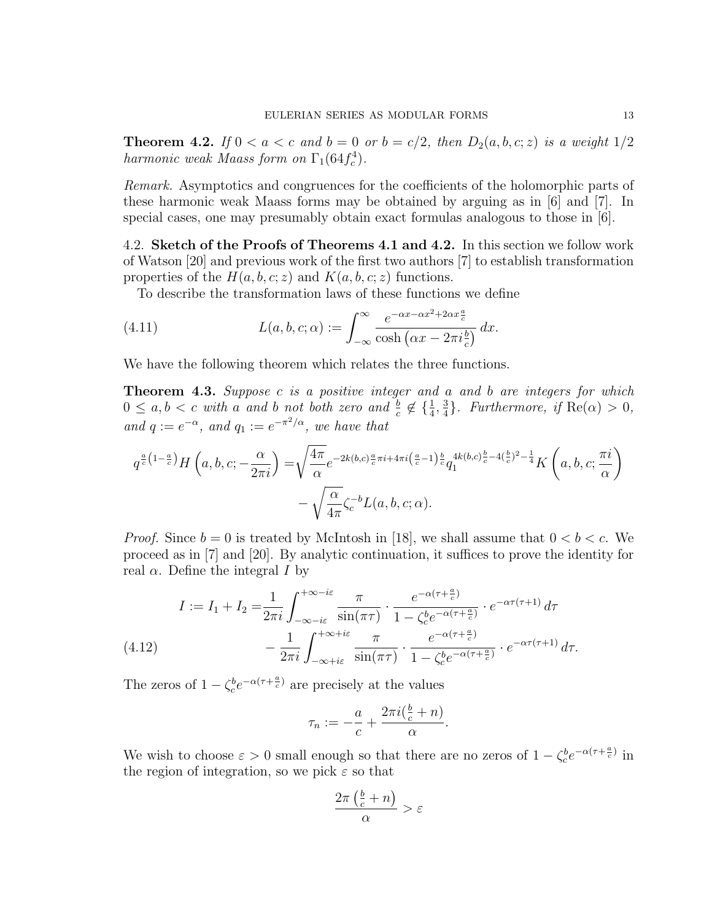**Theorem 4.2.** If  $0 < a < c$  and  $b = 0$  or  $b = c/2$ , then  $D_2(a, b, c; z)$  is a weight  $1/2$ harmonic weak Maass form on  $\Gamma_1(64 f_c^4)$ .

Remark. Asymptotics and congruences for the coefficients of the holomorphic parts of these harmonic weak Maass forms may be obtained by arguing as in [6] and [7]. In special cases, one may presumably obtain exact formulas analogous to those in [6].

4.2. Sketch of the Proofs of Theorems 4.1 and 4.2. In this section we follow work of Watson [20] and previous work of the first two authors [7] to establish transformation properties of the  $H(a, b, c; z)$  and  $K(a, b, c; z)$  functions.

To describe the transformation laws of these functions we define

(4.11) 
$$
L(a, b, c; \alpha) := \int_{-\infty}^{\infty} \frac{e^{-\alpha x - \alpha x^2 + 2\alpha x \frac{a}{c}}}{\cosh(\alpha x - 2\pi i \frac{b}{c})} dx.
$$

We have the following theorem which relates the three functions.

**Theorem 4.3.** Suppose c is a positive integer and a and b are integers for which  $0 \leq a, b < c$  with a and b not both zero and  $\frac{b}{c} \notin \{\frac{1}{4}, \frac{3}{4}\}$  $\frac{3}{4}$ . Furthermore, if Re( $\alpha$ ) > 0, and  $q := e^{-\alpha}$ , and  $q_1 := e^{-\pi^2/\alpha}$ , we have that

$$
q^{\frac{a}{c}\left(1-\frac{a}{c}\right)}H\left(a,b,c;-\frac{\alpha}{2\pi i}\right) = \sqrt{\frac{4\pi}{\alpha}}e^{-2k(b,c)\frac{a}{c}\pi i + 4\pi i\left(\frac{a}{c}-1\right)\frac{b}{c}}q_1^{4k(b,c)\frac{b}{c}-4\left(\frac{b}{c}\right)^2-\frac{1}{4}}K\left(a,b,c;\frac{\pi i}{\alpha}\right) - \sqrt{\frac{\alpha}{4\pi}}\zeta_c^{-b}L(a,b,c;\alpha).
$$

*Proof.* Since  $b = 0$  is treated by McIntosh in [18], we shall assume that  $0 < b < c$ . We proceed as in [7] and [20]. By analytic continuation, it suffices to prove the identity for real  $\alpha$ . Define the integral I by

$$
I := I_1 + I_2 = \frac{1}{2\pi i} \int_{-\infty - i\varepsilon}^{+\infty - i\varepsilon} \frac{\pi}{\sin(\pi \tau)} \cdot \frac{e^{-\alpha(\tau + \frac{a}{c})}}{1 - \zeta_c^b e^{-\alpha(\tau + \frac{a}{c})}} \cdot e^{-\alpha\tau(\tau + 1)} d\tau
$$
  
(4.12)
$$
- \frac{1}{2\pi i} \int_{-\infty + i\varepsilon}^{+\infty + i\varepsilon} \frac{\pi}{\sin(\pi \tau)} \cdot \frac{e^{-\alpha(\tau + \frac{a}{c})}}{1 - \zeta_c^b e^{-\alpha(\tau + \frac{a}{c})}} \cdot e^{-\alpha\tau(\tau + 1)} d\tau.
$$

The zeros of  $1 - \zeta_c^b e^{-\alpha(\tau + \frac{a}{c})}$  are precisely at the values

$$
\tau_n := -\frac{a}{c} + \frac{2\pi i(\frac{b}{c} + n)}{\alpha}.
$$

We wish to choose  $\varepsilon > 0$  small enough so that there are no zeros of  $1 - \zeta_c^b e^{-\alpha(\tau + \frac{a}{c})}$  in the region of integration, so we pick  $\varepsilon$  so that

$$
\frac{2\pi\left(\frac{b}{c}+n\right)}{\alpha} > \varepsilon
$$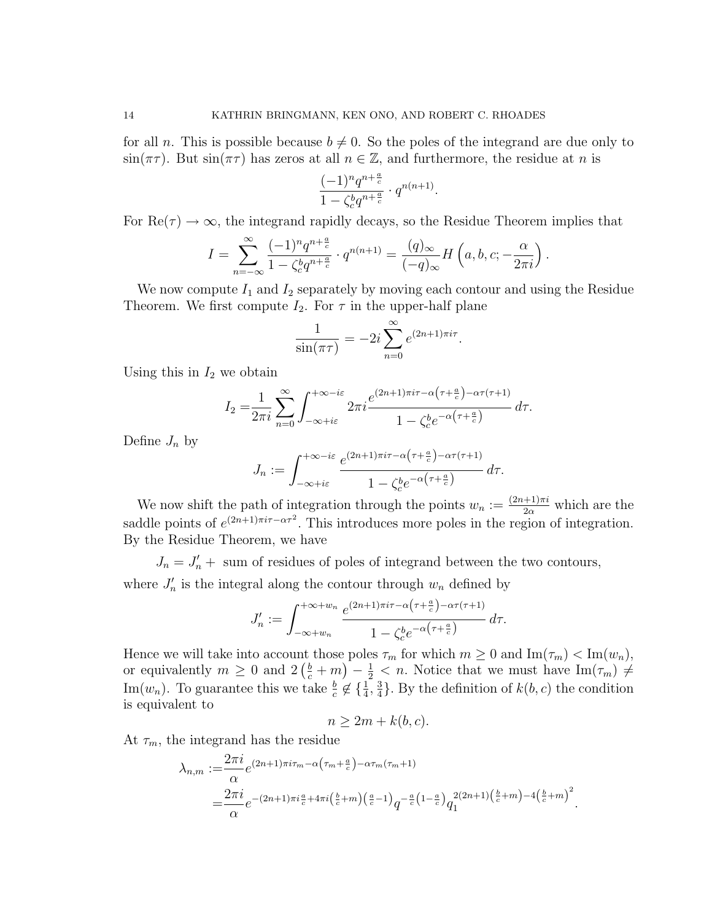for all n. This is possible because  $b \neq 0$ . So the poles of the integrand are due only to  $\sin(\pi\tau)$ . But  $\sin(\pi\tau)$  has zeros at all  $n \in \mathbb{Z}$ , and furthermore, the residue at n is

$$
\frac{(-1)^n q^{n+\frac{a}{c}}}{1-\zeta_c^b q^{n+\frac{a}{c}}}\cdot q^{n(n+1)}.
$$

For  $\text{Re}(\tau) \to \infty$ , the integrand rapidly decays, so the Residue Theorem implies that

$$
I=\sum_{n=-\infty}^{\infty}\frac{(-1)^n q^{n+\frac{a}{c}}}{1-\zeta_c^b q^{n+\frac{a}{c}}}\cdot q^{n(n+1)}=\frac{(q)_{\infty}}{(-q)_{\infty}}H\left(a,b,c;-\frac{\alpha}{2\pi i}\right)
$$

.

We now compute  $I_1$  and  $I_2$  separately by moving each contour and using the Residue Theorem. We first compute  $I_2$ . For  $\tau$  in the upper-half plane

$$
\frac{1}{\sin(\pi\tau)} = -2i \sum_{n=0}^{\infty} e^{(2n+1)\pi i \tau}.
$$

Using this in  $I_2$  we obtain

$$
I_2 = \frac{1}{2\pi i} \sum_{n=0}^{\infty} \int_{-\infty + i\varepsilon}^{+\infty - i\varepsilon} 2\pi i \frac{e^{(2n+1)\pi i\tau - \alpha\left(\tau + \frac{a}{c}\right) - \alpha\tau\left(\tau + 1\right)}}{1 - \zeta_c^b e^{-\alpha\left(\tau + \frac{a}{c}\right)}} d\tau.
$$

Define  $J_n$  by

$$
J_n := \int_{-\infty + i\varepsilon}^{+\infty - i\varepsilon} \frac{e^{(2n+1)\pi i\tau - \alpha\left(\tau + \frac{a}{c}\right) - \alpha\tau\left(\tau + 1\right)}}{1 - \zeta_c^b e^{-\alpha\left(\tau + \frac{a}{c}\right)}} \, d\tau.
$$

We now shift the path of integration through the points  $w_n := \frac{(2n+1)\pi i}{2\alpha}$  which are the saddle points of  $e^{(2n+1)\pi i\tau-\alpha\tau^2}$ . This introduces more poles in the region of integration. By the Residue Theorem, we have

 $J_n = J'_n +$  sum of residues of poles of integrand between the two contours, where  $J'_n$  is the integral along the contour through  $w_n$  defined by

$$
J'_n := \int_{-\infty+w_n}^{+\infty+w_n} \frac{e^{(2n+1)\pi i \tau - \alpha\left(\tau + \frac{a}{c}\right) - \alpha \tau\left(\tau + 1\right)}}{1 - \zeta_c^b e^{-\alpha\left(\tau + \frac{a}{c}\right)}} \, d\tau.
$$

Hence we will take into account those poles  $\tau_m$  for which  $m \geq 0$  and  $\text{Im}(\tau_m) < \text{Im}(w_n)$ , or equivalently  $m \geq 0$  and  $2(\frac{b}{c}+m) - \frac{1}{2} < n$ . Notice that we must have  $\text{Im}(\tau_m) \neq$ Im( $w_n$ ). To guarantee this we take  $\frac{b}{c} \notin \{\frac{1}{4}, \frac{3}{4}\}$  $\frac{3}{4}$ . By the definition of  $k(b, c)$  the condition is equivalent to

$$
n \ge 2m + k(b, c).
$$

At  $\tau_m$ , the integrand has the residue

$$
\lambda_{n,m} := \frac{2\pi i}{\alpha} e^{(2n+1)\pi i \tau_m - \alpha \left(\tau_m + \frac{a}{c}\right) - \alpha \tau_m (\tau_m + 1)} \n= \frac{2\pi i}{\alpha} e^{-(2n+1)\pi i \frac{a}{c} + 4\pi i \left(\frac{b}{c} + m\right) \left(\frac{a}{c} - 1\right)} q^{-\frac{a}{c} \left(1 - \frac{a}{c}\right)} q_1^{2(2n+1) \left(\frac{b}{c} + m\right) - 4\left(\frac{b}{c} + m\right)^2}.
$$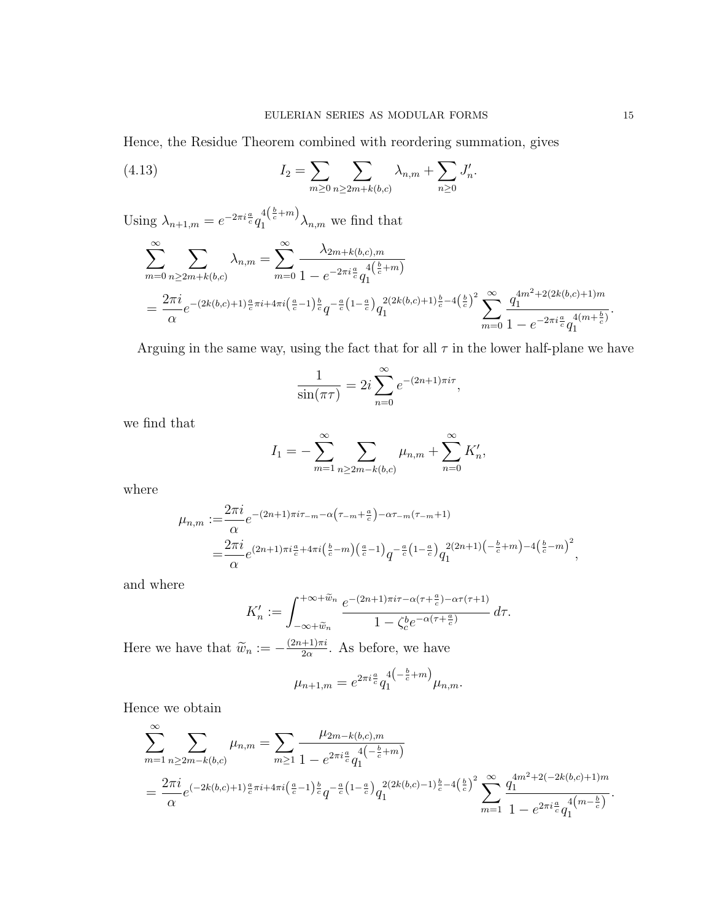Hence, the Residue Theorem combined with reordering summation, gives

(4.13) 
$$
I_2 = \sum_{m \ge 0} \sum_{n \ge 2m + k(b,c)} \lambda_{n,m} + \sum_{n \ge 0} J'_n.
$$

Using  $\lambda_{n+1,m} = e^{-2\pi i \frac{a}{c}} q_1^{4(\frac{b}{c}+m)} \lambda_{n,m}$  we find that

$$
\sum_{m=0}^{\infty} \sum_{n\geq 2m+k(b,c)} \lambda_{n,m} = \sum_{m=0}^{\infty} \frac{\lambda_{2m+k(b,c),m}}{1 - e^{-2\pi i \frac{a}{c}} q_1^{4(\frac{b}{c}+m)}}
$$
  
= 
$$
\frac{2\pi i}{\alpha} e^{-(2k(b,c)+1)\frac{a}{c}\pi i + 4\pi i (\frac{a}{c}-1)\frac{b}{c} q^{-\frac{a}{c}(1-\frac{a}{c})} q_1^{2(2k(b,c)+1)\frac{b}{c}-4(\frac{b}{c})^2} \sum_{m=0}^{\infty} \frac{q_1^{4m^2+2(2k(b,c)+1)m}}{1 - e^{-2\pi i \frac{a}{c}} q_1^{4(m+\frac{b}{c})}}.
$$

Arguing in the same way, using the fact that for all  $\tau$  in the lower half-plane we have

$$
\frac{1}{\sin(\pi\tau)} = 2i \sum_{n=0}^{\infty} e^{-(2n+1)\pi i \tau},
$$

we find that

$$
I_1 = -\sum_{m=1}^{\infty} \sum_{n \ge 2m-k(b,c)} \mu_{n,m} + \sum_{n=0}^{\infty} K'_n,
$$

where

$$
\mu_{n,m} := \frac{2\pi i}{\alpha} e^{-(2n+1)\pi i \tau_{-m} - \alpha \left(\tau_{-m} + \frac{a}{c}\right) - \alpha \tau_{-m}(\tau_{-m}+1)} \n= \frac{2\pi i}{\alpha} e^{(2n+1)\pi i \frac{a}{c} + 4\pi i \left(\frac{b}{c} - m\right) \left(\frac{a}{c} - 1\right)} q^{-\frac{a}{c} \left(1 - \frac{a}{c}\right)} q_1^{2(2n+1) \left(-\frac{b}{c} + m\right) - 4\left(\frac{b}{c} - m\right)^2},
$$

and where

$$
K'_n := \int_{-\infty+\widetilde{w}_n}^{+\infty+\widetilde{w}_n} \frac{e^{-(2n+1)\pi i\tau - \alpha(\tau + \frac{a}{c}) - \alpha\tau(\tau+1)}}{1 - \zeta_c^b e^{-\alpha(\tau + \frac{a}{c})}} d\tau.
$$

Here we have that  $\widetilde{w}_n := -\frac{(2n+1)\pi i}{2\alpha}$  $\frac{+1}{2\alpha}$ . As before, we have  $\frac{1}{2}$ 

$$
\mu_{n+1,m} = e^{2\pi i \frac{a}{c}} q_1^{4\left(-\frac{b}{c}+m\right)} \mu_{n,m}.
$$

Hence we obtain

$$
\sum_{m=1}^{\infty} \sum_{n\geq 2m-k(b,c)} \mu_{n,m} = \sum_{m\geq 1} \frac{\mu_{2m-k(b,c),m}}{1 - e^{2\pi i \frac{a}{c}} q_1^{4\left(-\frac{b}{c}+m\right)}}
$$
\n
$$
= \frac{2\pi i}{\alpha} e^{\left(-2k(b,c)+1\right)\frac{a}{c}\pi i + 4\pi i \left(\frac{a}{c}-1\right)\frac{b}{c}} q^{-\frac{a}{c}\left(1-\frac{a}{c}\right)} q_1^{2(2k(b,c)-1)\frac{b}{c}-4\left(\frac{b}{c}\right)^2} \sum_{m=1}^{\infty} \frac{q_1^{4m^2+2(-2k(b,c)+1)m}}{1 - e^{2\pi i \frac{a}{c}} q_1^{4\left(m-\frac{b}{c}\right)}}.
$$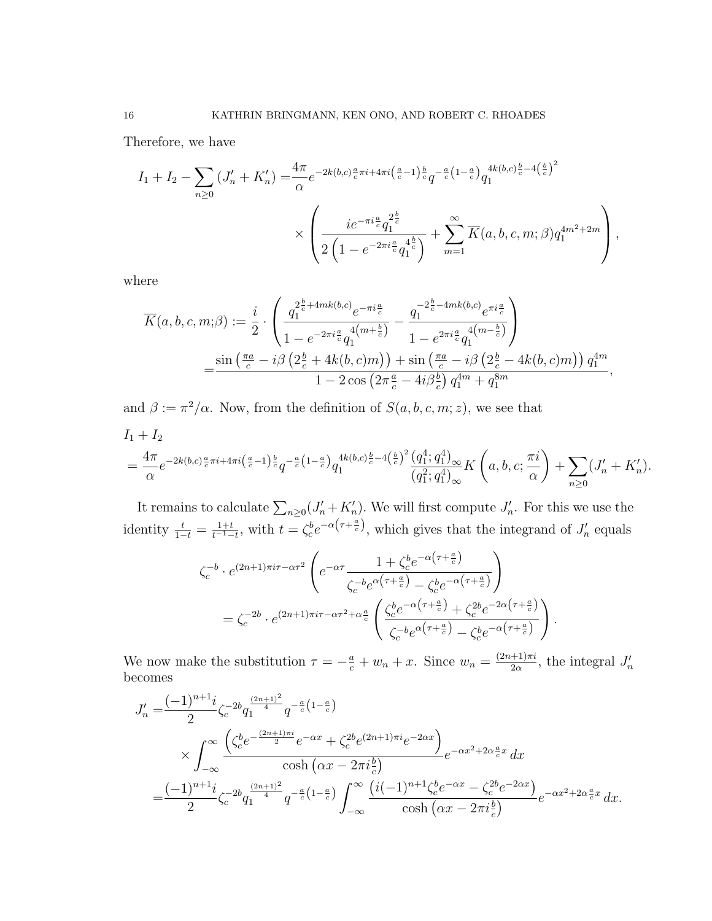Therefore, we have

$$
I_1 + I_2 - \sum_{n\geq 0} \left( J'_n + K'_n \right) = \frac{4\pi}{\alpha} e^{-2k(b,c)\frac{a}{c}\pi i + 4\pi i \left(\frac{a}{c} - 1\right)\frac{b}{c}} q^{-\frac{a}{c}\left(1 - \frac{a}{c}\right)} q_1^{4k(b,c)\frac{b}{c} - 4\left(\frac{b}{c}\right)^2}
$$

$$
\times \left( \frac{ie^{-\pi i \frac{a}{c}} q_1^{2\frac{b}{c}}}{2\left(1 - e^{-2\pi i \frac{a}{c}} q_1^{4\frac{b}{c}}\right)} + \sum_{m=1}^{\infty} \overline{K}(a, b, c, m; \beta) q_1^{4m^2 + 2m} \right),
$$

where

$$
\overline{K}(a,b,c,m;\beta) := \frac{i}{2} \cdot \left( \frac{q_1^{2\frac{b}{c} + 4mk(b,c)} e^{-\pi i \frac{a}{c}}}{1 - e^{-2\pi i \frac{a}{c}} q_1^{4(m + \frac{b}{c})}} - \frac{q_1^{-2\frac{b}{c} - 4mk(b,c)} e^{\pi i \frac{a}{c}}}{1 - e^{2\pi i \frac{a}{c}} q_1^{4(m - \frac{b}{c})}} \right)
$$

$$
= \frac{\sin\left(\frac{\pi a}{c} - i\beta \left(2\frac{b}{c} + 4k(b,c)m\right)\right) + \sin\left(\frac{\pi a}{c} - i\beta \left(2\frac{b}{c} - 4k(b,c)m\right)\right) q_1^{4m}}{1 - 2\cos\left(2\pi \frac{a}{c} - 4i\beta \frac{b}{c}\right) q_1^{4m} + q_1^{8m}},
$$

and  $\beta := \pi^2/\alpha$ . Now, from the definition of  $S(a, b, c, m; z)$ , we see that

$$
I_1 + I_2
$$
  
=  $\frac{4\pi}{\alpha} e^{-2k(b,c)\frac{a}{c}\pi i + 4\pi i \left(\frac{a}{c} - 1\right)\frac{b}{c}} q^{-\frac{a}{c}\left(1 - \frac{a}{c}\right)} q_1^{4k(b,c)\frac{b}{c} - 4\left(\frac{b}{c}\right)^2} \frac{\left(q_1^4; q_1^4\right)_{\infty}}{\left(q_1^2; q_1^4\right)_{\infty}} K\left(a, b, c; \frac{\pi i}{\alpha}\right) + \sum_{n \geq 0} \left(J'_n + K'_n\right).$ 

It remains to calculate  $\sum_{n\geq 0} (J'_n + K'_n)$ . We will first compute  $J'_n$ . For this we use the identity  $\frac{t}{1-t} = \frac{1+t}{t^{-1}-t}$  $\frac{1+t}{t^{-1}-t}$ , with  $t = \zeta_c^b e^{-\alpha(\tau+\frac{a}{c})}$ , which gives that the integrand of  $J'_n$  equals

$$
\zeta_c^{-b} \cdot e^{(2n+1)\pi i \tau - \alpha \tau^2} \left( e^{-\alpha \tau} \frac{1 + \zeta_c^b e^{-\alpha \left(\tau + \frac{a}{c}\right)}}{\zeta_c^{-b} e^{\alpha \left(\tau + \frac{a}{c}\right)} - \zeta_c^b e^{-\alpha \left(\tau + \frac{a}{c}\right)}} \right)
$$
\n
$$
= \zeta_c^{-2b} \cdot e^{(2n+1)\pi i \tau - \alpha \tau^2 + \alpha \frac{a}{c}} \left( \frac{\zeta_c^b e^{-\alpha \left(\tau + \frac{a}{c}\right)} + \zeta_c^{2b} e^{-2\alpha \left(\tau + \frac{a}{c}\right)}}{\zeta_c^{-b} e^{\alpha \left(\tau + \frac{a}{c}\right)} - \zeta_c^b e^{-\alpha \left(\tau + \frac{a}{c}\right)}} \right)
$$

.

We now make the substitution  $\tau = -\frac{a}{c} + w_n + x$ . Since  $w_n = \frac{(2n+1)\pi i}{2\alpha}$  $\frac{+1}{2\alpha}$ , the integral  $J'_n$ becomes

$$
J'_{n} = \frac{(-1)^{n+1}i}{2} \zeta_{c}^{-2b} q_{1}^{\frac{(2n+1)^{2}}{4}} q^{-\frac{a}{c}(1-\frac{a}{c})}
$$
  
 
$$
\times \int_{-\infty}^{\infty} \frac{\left(\zeta_{c}^{b} e^{-\frac{(2n+1)\pi i}{2}} e^{-\alpha x} + \zeta_{c}^{2b} e^{(2n+1)\pi i} e^{-2\alpha x}\right)}{\cosh\left(\alpha x - 2\pi i\frac{b}{c}\right)} e^{-\alpha x^{2}+2\alpha\frac{a}{c}x} dx
$$
  
= 
$$
\frac{(-1)^{n+1}i}{2} \zeta_{c}^{-2b} q_{1}^{\frac{(2n+1)^{2}}{4}} q^{-\frac{a}{c}(1-\frac{a}{c})} \int_{-\infty}^{\infty} \frac{\left(i(-1)^{n+1} \zeta_{c}^{b} e^{-\alpha x} - \zeta_{c}^{2b} e^{-2\alpha x}\right)}{\cosh\left(\alpha x - 2\pi i\frac{b}{c}\right)} e^{-\alpha x^{2}+2\alpha\frac{a}{c}x} dx.
$$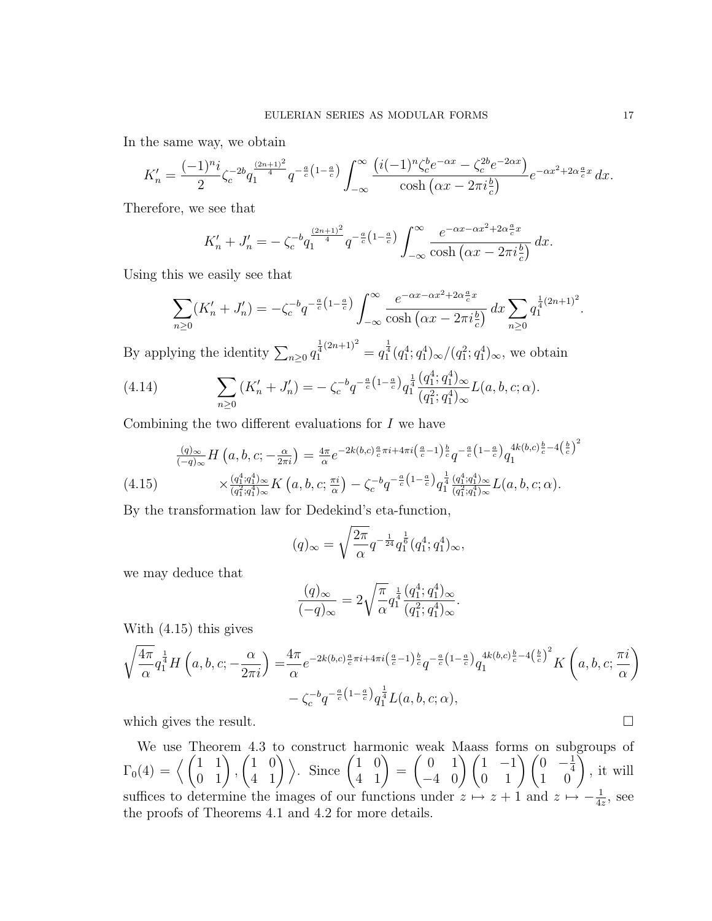In the same way, we obtain

$$
K'_n = \frac{(-1)^{n_i}}{2} \zeta_c^{-2b} q_1^{\frac{(2n+1)^2}{4}} q^{-\frac{a}{c}(1-\frac{a}{c})} \int_{-\infty}^{\infty} \frac{(i(-1)^n \zeta_c^b e^{-\alpha x} - \zeta_c^{2b} e^{-2\alpha x})}{\cosh(\alpha x - 2\pi i \frac{b}{c})} e^{-\alpha x^2 + 2\alpha \frac{a}{c}x} dx.
$$

Therefore, we see that

$$
K'_{n} + J'_{n} = -\zeta_{c}^{-b} q_{1}^{\frac{(2n+1)^{2}}{4}} q^{-\frac{a}{c}(1-\frac{a}{c})} \int_{-\infty}^{\infty} \frac{e^{-\alpha x - \alpha x^{2} + 2\alpha \frac{a}{c}x}}{\cosh(\alpha x - 2\pi i \frac{b}{c})} dx.
$$

Using this we easily see that

$$
\sum_{n\geq 0} (K'_n + J'_n) = -\zeta_c^{-b} q^{-\frac{a}{c} \left(1 - \frac{a}{c}\right)} \int_{-\infty}^{\infty} \frac{e^{-\alpha x - \alpha x^2 + 2\alpha \frac{a}{c} x}}{\cosh\left(\alpha x - 2\pi i \frac{b}{c}\right)} dx \sum_{n\geq 0} q_1^{\frac{1}{4}\left(2n + 1\right)^2}.
$$

By applying the identity  $\sum_{n\geq 0} q_1^{\frac{1}{4}(2n+1)^2} = q_1^{\frac{1}{4}}(q_1^4; q_1^4)_{\infty}/(q_1^2; q_1^4)_{\infty}$ , we obtain

(4.14) 
$$
\sum_{n\geq 0} (K'_n + J'_n) = -\zeta_c^{-b} q^{-\frac{a}{c} \left(1 - \frac{a}{c}\right)} q_1^{\frac{1}{4}} \frac{(q_1^4; q_1^4)_{\infty}}{(q_1^2; q_1^4)_{\infty}} L(a, b, c; \alpha).
$$

Combining the two different evaluations for I we have

$$
\frac{(q)_{\infty}}{(-q)_{\infty}} H\left(a, b, c; -\frac{\alpha}{2\pi i}\right) = \frac{4\pi}{\alpha} e^{-2k(b,c)\frac{a}{c}\pi i + 4\pi i \left(\frac{a}{c} - 1\right)\frac{b}{c}} q^{-\frac{a}{c}\left(1 - \frac{a}{c}\right)} q_1^{4k(b,c)\frac{b}{c} - 4\left(\frac{b}{c}\right)^2}
$$
\n
$$
\times \frac{(q_1^4; q_1^4)_{\infty}}{(q_1^2; q_1^4)_{\infty}} K\left(a, b, c; \frac{\pi i}{\alpha}\right) - \zeta_c^{-b} q^{-\frac{a}{c}\left(1 - \frac{a}{c}\right)} q_1^{\frac{1}{4}} \frac{(q_1^4; q_1^4)_{\infty}}{(q_1^2; q_1^4)_{\infty}} L(a, b, c; \alpha).
$$

By the transformation law for Dedekind's eta-function,

$$
(q)_{\infty} = \sqrt{\frac{2\pi}{\alpha}} q^{-\frac{1}{24}} q_1^{\frac{1}{6}} (q_1^4; q_1^4)_{\infty},
$$

we may deduce that

$$
\frac{(q)_{\infty}}{(-q)_{\infty}} = 2\sqrt{\frac{\pi}{\alpha}} q_1^{\frac{1}{4}} \frac{(q_1^4; q_1^4)_{\infty}}{(q_1^2; q_1^4)_{\infty}}.
$$

With (4.15) this gives

$$
\sqrt{\frac{4\pi}{\alpha}} q_1^{\frac{1}{4}} H\left(a,b,c;-\frac{\alpha}{2\pi i}\right) = \frac{4\pi}{\alpha} e^{-2k(b,c)\frac{\alpha}{c}\pi i + 4\pi i \left(\frac{a}{c}-1\right)\frac{b}{c}} q^{-\frac{a}{c}\left(1-\frac{a}{c}\right)} q_1^{4k(b,c)\frac{b}{c}-4\left(\frac{b}{c}\right)^2} K\left(a,b,c;\frac{\pi i}{\alpha}\right)
$$

$$
-\zeta_c^{-b} q^{-\frac{a}{c}\left(1-\frac{a}{c}\right)} q_1^{\frac{1}{4}} L(a,b,c;\alpha),
$$

which gives the result.  $\Box$ 

We use Theorem 4.3 to construct harmonic weak Maass forms on subgroups of  $\Gamma_0(4)=\left\langle \begin{pmatrix} 1 & 1 \ 0 & 1 \end{pmatrix}, \right.$  $\begin{pmatrix} 1 & 0 \\ 4 & 1 \end{pmatrix}$ . Since  $\begin{pmatrix} 1 & 0 \\ 4 & 1 \end{pmatrix}$  =  $\begin{pmatrix} 0 & 1 \\ -4 & 0 \end{pmatrix} \begin{pmatrix} 1 & -1 \\ 0 & 1 \end{pmatrix} \begin{pmatrix} 0 & -\frac{1}{4} \\ 1 & 0 \end{pmatrix}$ 4  $\begin{pmatrix} 0 & -\frac{1}{4} \\ 1 & 0 \end{pmatrix}$ , it will suffices to determine the images of our functions under  $z \mapsto z + 1$  and  $z \mapsto -\frac{1}{4z}$ , see the proofs of Theorems 4.1 and 4.2 for more details.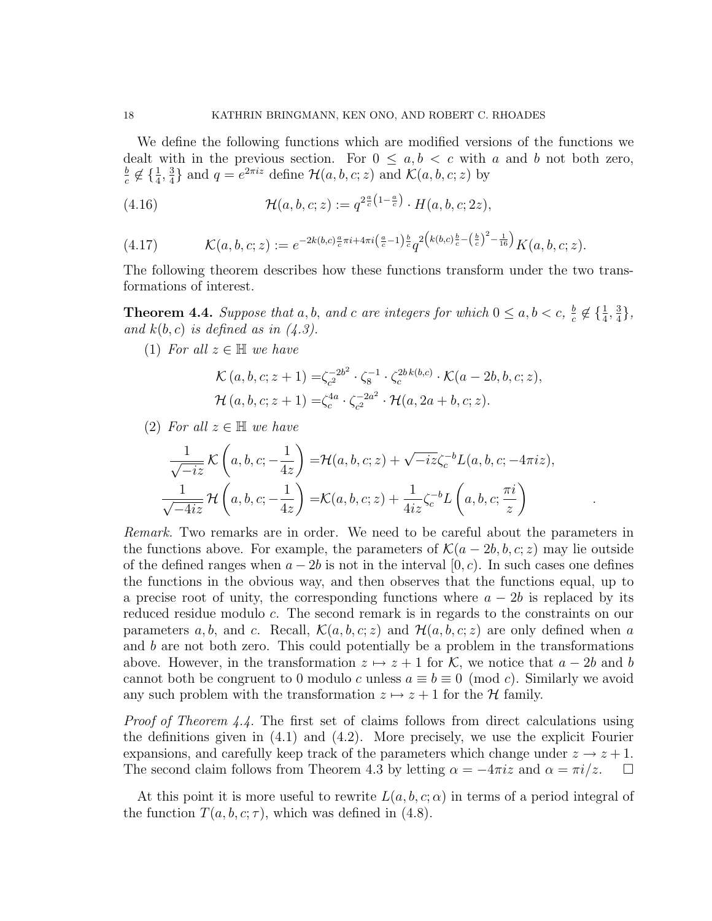We define the following functions which are modified versions of the functions we dealt with in the previous section. For  $0 \leq a, b < c$  with a and b not both zero, b  $\frac{b}{c} \notin \{\frac{1}{4}, \frac{3}{4}$  $\frac{3}{4}$  and  $q = e^{2\pi i z}$  define  $\mathcal{H}(a, b, c; z)$  and  $\mathcal{K}(a, b, c; z)$  by

(4.16) 
$$
\mathcal{H}(a,b,c;z) := q^{2\frac{a}{c}(1-\frac{a}{c})} \cdot H(a,b,c;2z),
$$

$$
(4.17) \qquad \mathcal{K}(a,b,c;z) := e^{-2k(b,c)\frac{a}{c}\pi i + 4\pi i \left(\frac{a}{c}-1\right)\frac{b}{c}} q^{2\left(k(b,c)\frac{b}{c}-\left(\frac{b}{c}\right)^2-\frac{1}{16}\right)} K(a,b,c;z).
$$

The following theorem describes how these functions transform under the two transformations of interest.

**Theorem 4.4.** Suppose that a, b, and c are integers for which  $0 \le a, b < c$ ,  $\frac{b}{c}$  $\frac{b}{c} \notin \{\frac{1}{4}, \frac{3}{4}$  $\frac{3}{4}$ , and  $k(b, c)$  is defined as in  $(4.3)$ .

(1) For all  $z \in \mathbb{H}$  we have

$$
\mathcal{K}(a, b, c; z+1) = \zeta_c^{-2b^2} \cdot \zeta_8^{-1} \cdot \zeta_c^{2b k(b, c)} \cdot \mathcal{K}(a-2b, b, c; z),
$$
  
\n
$$
\mathcal{H}(a, b, c; z+1) = \zeta_c^{4a} \cdot \zeta_c^{-2a^2} \cdot \mathcal{H}(a, 2a+b, c; z).
$$

(2) For all  $z \in \mathbb{H}$  we have

$$
\frac{1}{\sqrt{-iz}}\mathcal{K}\left(a,b,c;-\frac{1}{4z}\right) = \mathcal{H}(a,b,c;z) + \sqrt{-iz}\zeta_c^{-b}L(a,b,c;-4\pi iz),
$$
  

$$
\frac{1}{\sqrt{-4iz}}\mathcal{H}\left(a,b,c;-\frac{1}{4z}\right) = \mathcal{K}(a,b,c;z) + \frac{1}{4iz}\zeta_c^{-b}L\left(a,b,c;\frac{\pi i}{z}\right)
$$

.

Remark. Two remarks are in order. We need to be careful about the parameters in the functions above. For example, the parameters of  $\mathcal{K}(a-2b, b, c; z)$  may lie outside of the defined ranges when  $a - 2b$  is not in the interval [0, c). In such cases one defines the functions in the obvious way, and then observes that the functions equal, up to a precise root of unity, the corresponding functions where  $a - 2b$  is replaced by its reduced residue modulo c. The second remark is in regards to the constraints on our parameters a, b, and c. Recall,  $\mathcal{K}(a, b, c; z)$  and  $\mathcal{H}(a, b, c; z)$  are only defined when a and b are not both zero. This could potentially be a problem in the transformations above. However, in the transformation  $z \mapsto z + 1$  for K, we notice that  $a - 2b$  and b cannot both be congruent to 0 modulo c unless  $a \equiv b \equiv 0 \pmod{c}$ . Similarly we avoid any such problem with the transformation  $z \mapsto z + 1$  for the H family.

Proof of Theorem 4.4. The first set of claims follows from direct calculations using the definitions given in (4.1) and (4.2). More precisely, we use the explicit Fourier expansions, and carefully keep track of the parameters which change under  $z \to z + 1$ . The second claim follows from Theorem 4.3 by letting  $\alpha = -4\pi i z$  and  $\alpha = \pi i/z$ .  $\Box$ 

At this point it is more useful to rewrite  $L(a, b, c; \alpha)$  in terms of a period integral of the function  $T(a, b, c; \tau)$ , which was defined in (4.8).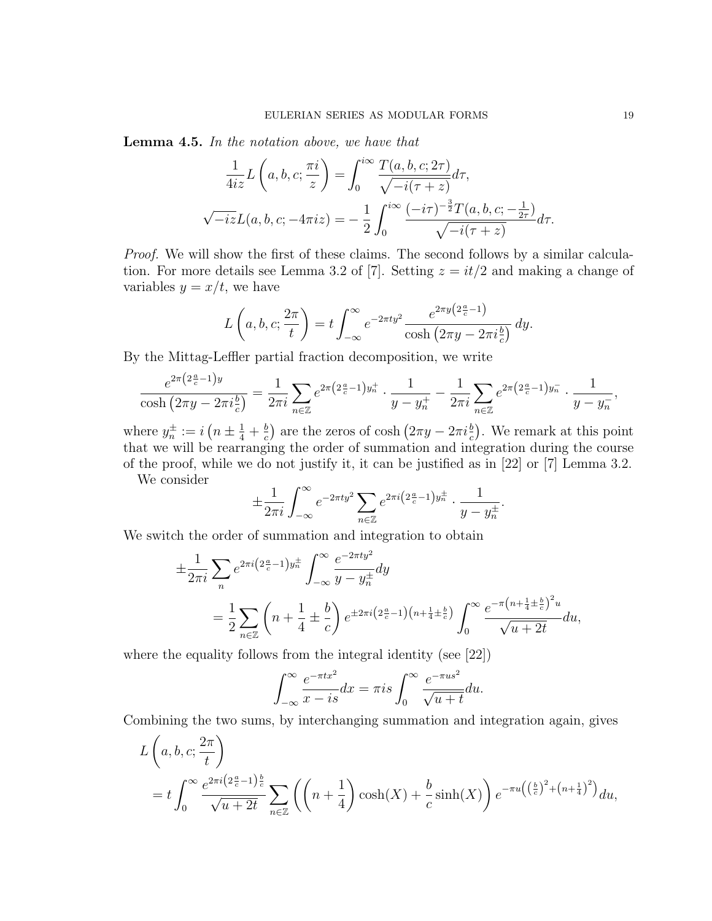Lemma 4.5. In the notation above, we have that

$$
\frac{1}{4iz}L\left(a,b,c;\frac{\pi i}{z}\right) = \int_0^{i\infty} \frac{T(a,b,c;2\tau)}{\sqrt{-i(\tau+z)}}d\tau,
$$
  

$$
\sqrt{-iz}L(a,b,c;-4\pi iz) = -\frac{1}{2}\int_0^{i\infty} \frac{(-i\tau)^{-\frac{3}{2}}T(a,b,c;-\frac{1}{2\tau})}{\sqrt{-i(\tau+z)}}d\tau.
$$

Proof. We will show the first of these claims. The second follows by a similar calculation. For more details see Lemma 3.2 of [7]. Setting  $z = it/2$  and making a change of variables  $y = x/t$ , we have

$$
L\left(a,b,c;\frac{2\pi}{t}\right) = t \int_{-\infty}^{\infty} e^{-2\pi t y^2} \frac{e^{2\pi y \left(2\frac{a}{c}-1\right)}}{\cosh\left(2\pi y - 2\pi i \frac{b}{c}\right)} dy.
$$

By the Mittag-Leffler partial fraction decomposition, we write

$$
\frac{e^{2\pi (2\frac{a}{c}-1)y}}{\cosh\left(2\pi y-2\pi i \frac{b}{c}\right)}=\frac{1}{2\pi i}\sum_{n\in\mathbb{Z}}e^{2\pi (2\frac{a}{c}-1)y_n^+}\cdot\frac{1}{y-y_n^+}-\frac{1}{2\pi i}\sum_{n\in\mathbb{Z}}e^{2\pi (2\frac{a}{c}-1)y_n^-}\cdot\frac{1}{y-y_n^-},
$$

where  $y_n^{\pm} := i \left( n \pm \frac{1}{4} + \frac{b}{c} \right)$  $\frac{b}{c}$  are the zeros of cosh  $(2\pi y - 2\pi i \frac{b}{c})$ . We remark at this point that we will be rearranging the order of summation and integration during the course of the proof, while we do not justify it, it can be justified as in [22] or [7] Lemma 3.2.

We consider

$$
\pm \frac{1}{2\pi i} \int_{-\infty}^{\infty} e^{-2\pi t y^2} \sum_{n \in \mathbb{Z}} e^{2\pi i \left(2\frac{a}{c} - 1\right)y_n^{\pm}} \cdot \frac{1}{y - y_n^{\pm}}
$$

.

We switch the order of summation and integration to obtain

$$
\pm \frac{1}{2\pi i} \sum_{n} e^{2\pi i \left(2\frac{a}{c} - 1\right)y_n^{\pm}} \int_{-\infty}^{\infty} \frac{e^{-2\pi t y^2}}{y - y_n^{\pm}} dy
$$
\n
$$
= \frac{1}{2} \sum_{n \in \mathbb{Z}} \left( n + \frac{1}{4} \pm \frac{b}{c} \right) e^{\pm 2\pi i \left(2\frac{a}{c} - 1\right) \left( n + \frac{1}{4} \pm \frac{b}{c} \right)} \int_{0}^{\infty} \frac{e^{-\pi \left( n + \frac{1}{4} \pm \frac{b}{c} \right)^2 u}}{\sqrt{u + 2t}} du,
$$

where the equality follows from the integral identity (see [22])

$$
\int_{-\infty}^{\infty} \frac{e^{-\pi tx^2}}{x - is} dx = \pi is \int_{0}^{\infty} \frac{e^{-\pi us^2}}{\sqrt{u + t}} du.
$$

Combining the two sums, by interchanging summation and integration again, gives

$$
L\left(a,b,c;\frac{2\pi}{t}\right)
$$
  
=  $t\int_0^\infty \frac{e^{2\pi i \left(2\frac{a}{c}-1\right)\frac{b}{c}}}{\sqrt{u+2t}} \sum_{n\in\mathbb{Z}} \left( \left(n+\frac{1}{4}\right) \cosh(X) + \frac{b}{c} \sinh(X) \right) e^{-\pi u \left(\left(\frac{b}{c}\right)^2 + \left(n+\frac{1}{4}\right)^2\right)} du$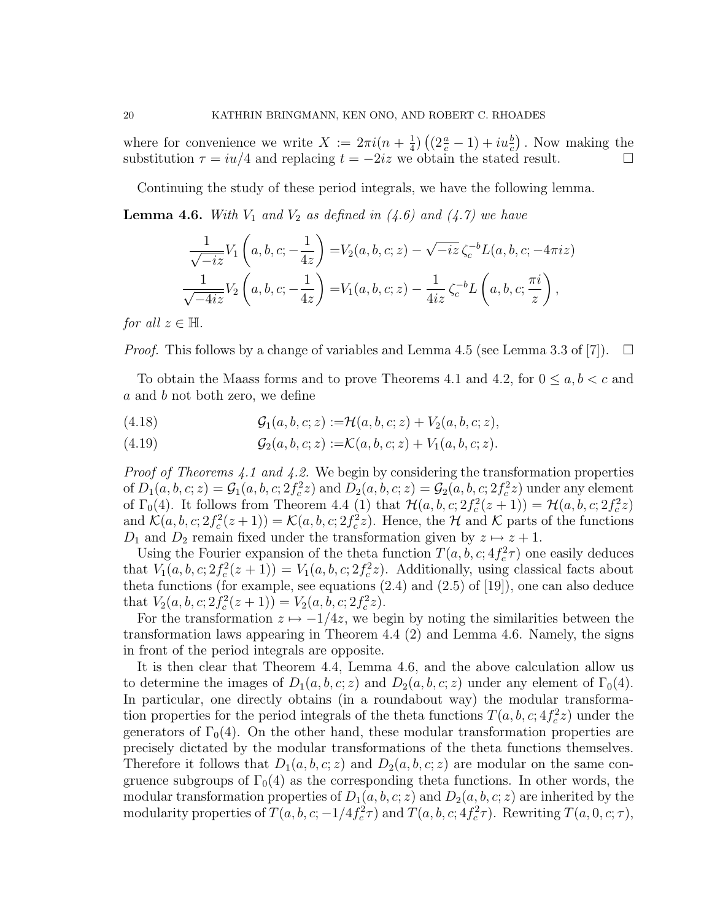where for convenience we write  $X := 2\pi i(n + \frac{1}{4})$  $\frac{1}{4}$ )  $\left( (2\frac{a}{c} - 1) + i u\frac{b}{c} \right)$ . Now making the substitution  $\tau = iu/4$  and replacing  $t = -2iz$  we obtain the stated result.

Continuing the study of these period integrals, we have the following lemma.

**Lemma 4.6.** With  $V_1$  and  $V_2$  as defined in (4.6) and (4.7) we have

$$
\frac{1}{\sqrt{-iz}}V_1(a, b, c; -\frac{1}{4z}) = V_2(a, b, c; z) - \sqrt{-iz} \zeta_c^{-b}L(a, b, c; -4\pi iz)
$$
  

$$
\frac{1}{\sqrt{-4iz}}V_2(a, b, c; -\frac{1}{4z}) = V_1(a, b, c; z) - \frac{1}{4iz} \zeta_c^{-b}L(a, b, c; \frac{\pi i}{z}),
$$

for all  $z \in \mathbb{H}$ .

*Proof.* This follows by a change of variables and Lemma 4.5 (see Lemma 3.3 of [7]).  $\square$ 

To obtain the Maass forms and to prove Theorems 4.1 and 4.2, for  $0 \le a, b < c$  and a and b not both zero, we define

(4.18) 
$$
\mathcal{G}_1(a, b, c; z) := \mathcal{H}(a, b, c; z) + V_2(a, b, c; z),
$$

(4.19) 
$$
\mathcal{G}_2(a, b, c; z) := \mathcal{K}(a, b, c; z) + V_1(a, b, c; z).
$$

Proof of Theorems 4.1 and 4.2. We begin by considering the transformation properties of  $D_1(a, b, c; z) = \mathcal{G}_1(a, b, c; 2f_c^2 z)$  and  $D_2(a, b, c; z) = \mathcal{G}_2(a, b, c; 2f_c^2 z)$  under any element of  $\Gamma_0(4)$ . It follows from Theorem 4.4 (1) that  $\mathcal{H}(a, b, c; 2f_c^2(z+1)) = \mathcal{H}(a, b, c; 2f_c^2z)$ and  $\mathcal{K}(a, b, c; 2f_c^2(z+1)) = \mathcal{K}(a, b, c; 2f_c^2z)$ . Hence, the  $\mathcal{H}$  and  $\mathcal{K}$  parts of the functions  $D_1$  and  $D_2$  remain fixed under the transformation given by  $z \mapsto z + 1$ .

Using the Fourier expansion of the theta function  $T(a, b, c; 4f_c^2 \tau)$  one easily deduces that  $V_1(a, b, c; 2f_c^2(z+1)) = V_1(a, b, c; 2f_c^2z)$ . Additionally, using classical facts about theta functions (for example, see equations (2.4) and (2.5) of [19]), one can also deduce that  $V_2(a, b, c; 2f_c^2(z+1)) = V_2(a, b, c; 2f_c^2z)$ .

For the transformation  $z \mapsto -1/4z$ , we begin by noting the similarities between the transformation laws appearing in Theorem 4.4 (2) and Lemma 4.6. Namely, the signs in front of the period integrals are opposite.

It is then clear that Theorem 4.4, Lemma 4.6, and the above calculation allow us to determine the images of  $D_1(a, b, c; z)$  and  $D_2(a, b, c; z)$  under any element of  $\Gamma_0(4)$ . In particular, one directly obtains (in a roundabout way) the modular transformation properties for the period integrals of the theta functions  $T(a, b, c; 4f_c^2z)$  under the generators of  $\Gamma_0(4)$ . On the other hand, these modular transformation properties are precisely dictated by the modular transformations of the theta functions themselves. Therefore it follows that  $D_1(a, b, c; z)$  and  $D_2(a, b, c; z)$  are modular on the same congruence subgroups of  $\Gamma_0(4)$  as the corresponding theta functions. In other words, the modular transformation properties of  $D_1(a, b, c; z)$  and  $D_2(a, b, c; z)$  are inherited by the modularity properties of  $T(a, b, c; -1/4f_c^2\tau)$  and  $T(a, b, c; 4f_c^2\tau)$ . Rewriting  $T(a, 0, c; \tau)$ ,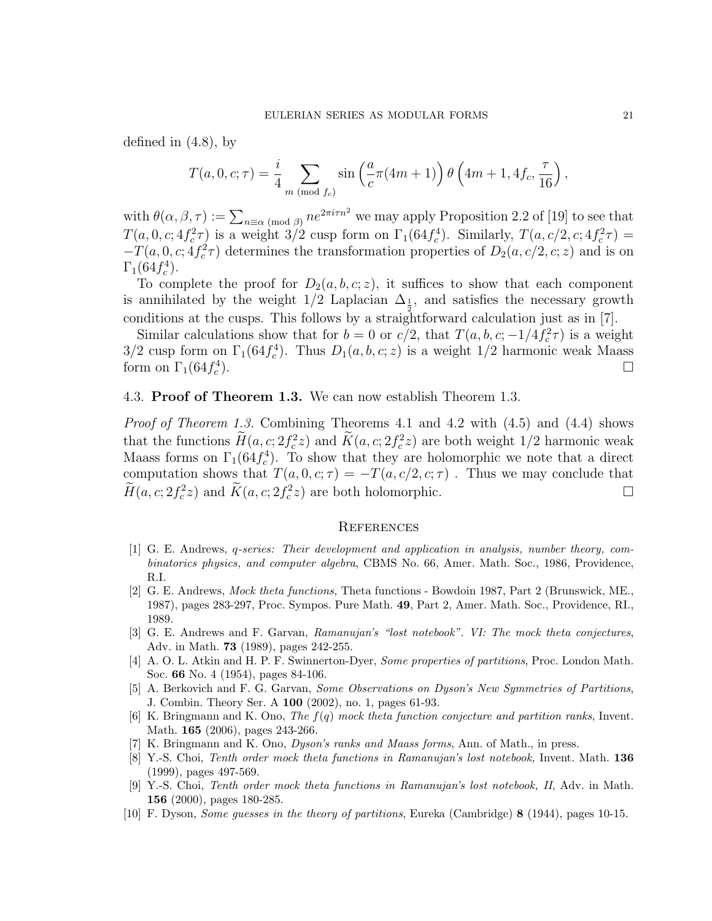defined in (4.8), by

$$
T(a, 0, c; \tau) = \frac{i}{4} \sum_{m \pmod{f_c}} \sin\left(\frac{a}{c}\pi(4m+1)\right) \theta\left(4m+1, 4f_c, \frac{\tau}{16}\right),
$$

with  $\theta(\alpha,\beta,\tau) := \sum_{n \equiv \alpha \pmod{\beta}} n e^{2\pi i \tau n^2}$  we may apply Proposition 2.2 of [19] to see that  $T(a, 0, c; 4f_c^2 \tau)$  is a weight 3/2 cusp form on  $\Gamma_1(64f_c^4)$ . Similarly,  $T(a, c/2, c; 4f_c^2 \tau) =$  $-T(a, 0, c; 4f_c^2 \tau)$  determines the transformation properties of  $D_2(a, c/2, c; z)$  and is on  $\Gamma_1(64 f_c^4)$ .

To complete the proof for  $D_2(a, b, c; z)$ , it suffices to show that each component is annihilated by the weight  $1/2$  Laplacian  $\Delta_{\frac{1}{2}}$ , and satisfies the necessary growth conditions at the cusps. This follows by a straightforward calculation just as in [7].

Similar calculations show that for  $b = 0$  or  $c/2$ , that  $T(a, b, c; -1/4f_c^2 \tau)$  is a weight  $3/2$  cusp form on  $\Gamma_1(64 f_c^4)$ . Thus  $D_1(a, b, c; z)$  is a weight  $1/2$  harmonic weak Maass form on  $\Gamma_1(64f_c^4)$ ).

## 4.3. Proof of Theorem 1.3. We can now establish Theorem 1.3.

Proof of Theorem 1.3. Combining Theorems 4.1 and 4.2 with (4.5) and (4.4) shows that the functions  $H(a, c; 2f_c^2z)$  and  $\tilde{K}(a, c; 2f_c^2z)$  are both weight  $1/2$  harmonic weak Maass forms on  $\Gamma_1(64f_c^4)$ . To show that they are holomorphic we note that a direct computation shows that  $T(a, 0, c; \tau) = -T(a, c/2, c; \tau)$ . Thus we may conclude that  $\widetilde{H}(a, c; 2f_c^2z)$  and  $\widetilde{K}(a, c; 2f_c^2z)$  are both holomorphic.

#### **REFERENCES**

- [1] G. E. Andrews, q-series: Their development and application in analysis, number theory, combinatorics physics, and computer algebra, CBMS No. 66, Amer. Math. Soc., 1986, Providence, R.I.
- [2] G. E. Andrews, Mock theta functions, Theta functions Bowdoin 1987, Part 2 (Brunswick, ME., 1987), pages 283-297, Proc. Sympos. Pure Math. 49, Part 2, Amer. Math. Soc., Providence, RI., 1989.
- [3] G. E. Andrews and F. Garvan, Ramanujan's "lost notebook". VI: The mock theta conjectures, Adv. in Math. 73 (1989), pages 242-255.
- [4] A. O. L. Atkin and H. P. F. Swinnerton-Dyer, *Some properties of partitions*, Proc. London Math. Soc. 66 No. 4 (1954), pages 84-106.
- [5] A. Berkovich and F. G. Garvan, Some Observations on Dyson's New Symmetries of Partitions, J. Combin. Theory Ser. A 100 (2002), no. 1, pages 61-93.
- [6] K. Bringmann and K. Ono, The f(q) mock theta function conjecture and partition ranks, Invent. Math. 165 (2006), pages 243-266.
- [7] K. Bringmann and K. Ono, Dyson's ranks and Maass forms, Ann. of Math., in press.
- [8] Y.-S. Choi, Tenth order mock theta functions in Ramanujan's lost notebook, Invent. Math. 136 (1999), pages 497-569.
- [9] Y.-S. Choi, Tenth order mock theta functions in Ramanujan's lost notebook, II, Adv. in Math. 156 (2000), pages 180-285.
- [10] F. Dyson, Some guesses in the theory of partitions, Eureka (Cambridge) 8 (1944), pages 10-15.